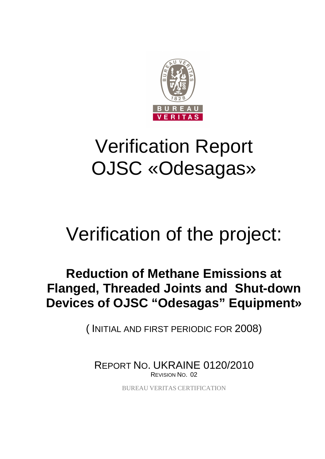

# Verification Report OJSC «Odesagas»

# Verification of the project:

# **Reduction of Methane Emissions at Flanged, Threaded Joints and Shut-down Devices of OJSC "Odesagas" Equipment»**

( INITIAL AND FIRST PERIODIC FOR 2008)

REPORT NO. UKRAINE 0120/2010 REVISION NO. 02

BUREAU VERITAS CERTIFICATION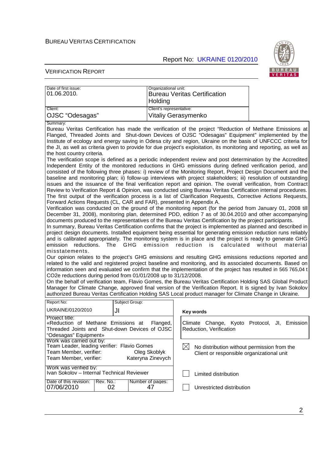Report No: UKRAINE 0120/2010



| Date of first issue:<br>01.06.2010.                                                                                                                                                                                                                                                                                                                                                                                                                                                                                                                                                                                                                                                                                                                                                                                                                                                                                                                                                                                                                                                                                                                                                                                                                                                                                                                                                                                                                                                                                                                                                                                                                                                                                                                                                                                                                                                                                                                                                                                                                                                                                                                                                                                                                                                                                                                                                                                                                                                                                                                                                                                                                                                                                                              | Organizational unit:     | <b>Bureau Veritas Certification</b> |  |  |  |
|--------------------------------------------------------------------------------------------------------------------------------------------------------------------------------------------------------------------------------------------------------------------------------------------------------------------------------------------------------------------------------------------------------------------------------------------------------------------------------------------------------------------------------------------------------------------------------------------------------------------------------------------------------------------------------------------------------------------------------------------------------------------------------------------------------------------------------------------------------------------------------------------------------------------------------------------------------------------------------------------------------------------------------------------------------------------------------------------------------------------------------------------------------------------------------------------------------------------------------------------------------------------------------------------------------------------------------------------------------------------------------------------------------------------------------------------------------------------------------------------------------------------------------------------------------------------------------------------------------------------------------------------------------------------------------------------------------------------------------------------------------------------------------------------------------------------------------------------------------------------------------------------------------------------------------------------------------------------------------------------------------------------------------------------------------------------------------------------------------------------------------------------------------------------------------------------------------------------------------------------------------------------------------------------------------------------------------------------------------------------------------------------------------------------------------------------------------------------------------------------------------------------------------------------------------------------------------------------------------------------------------------------------------------------------------------------------------------------------------------------------|--------------------------|-------------------------------------|--|--|--|
|                                                                                                                                                                                                                                                                                                                                                                                                                                                                                                                                                                                                                                                                                                                                                                                                                                                                                                                                                                                                                                                                                                                                                                                                                                                                                                                                                                                                                                                                                                                                                                                                                                                                                                                                                                                                                                                                                                                                                                                                                                                                                                                                                                                                                                                                                                                                                                                                                                                                                                                                                                                                                                                                                                                                                  | Holding                  |                                     |  |  |  |
| Client:<br>OJSC "Odesagas"                                                                                                                                                                                                                                                                                                                                                                                                                                                                                                                                                                                                                                                                                                                                                                                                                                                                                                                                                                                                                                                                                                                                                                                                                                                                                                                                                                                                                                                                                                                                                                                                                                                                                                                                                                                                                                                                                                                                                                                                                                                                                                                                                                                                                                                                                                                                                                                                                                                                                                                                                                                                                                                                                                                       | Client's representative: | Vitaliy Gerasymenko                 |  |  |  |
| Summary:<br>Bureau Veritas Certification has made the verification of the project "Reduction of Methane Emissions at<br>Flanged, Threaded Joints and Shut-down Devices of OJSC "Odesagas" Equipment" implemented by the<br>Institute of ecology and energy saving in Odesa city and region, Ukraine on the basis of UNFCCC criteria for<br>the JI, as well as criteria given to provide for due project's exploitation, its monitoring and reporting, as well as<br>the host country criteria.<br>The verification scope is defined as a periodic independent review and post determination by the Accredited<br>Independent Entity of the monitored reductions in GHG emissions during defined verification period, and<br>consisted of the following three phases: i) review of the Monitoring Report, Project Design Document and the<br>baseline and monitoring plan; ii) follow-up interviews with project stakeholders; iii) resolution of outstanding<br>issues and the issuance of the final verification report and opinion. The overall verification, from Contract<br>Review to Verification Report & Opinion, was conducted using Bureau Veritas Certification internal procedures.<br>The first output of the verification process is a list of Clarification Requests, Corrective Actions Requests,<br>Forward Actions Requests (CL, CAR and FAR), presented in Appendix A.<br>Verification was conducted on the ground of the monitoring report (for the period from January 01, 2008 till<br>December 31, 2008), monitoring plan, determined PDD, edition 7 as of 30.04.2010 and other accompanying<br>documents produced to the representatives of the Bureau Veritas Certification by the project participants.<br>In summary, Bureau Veritas Certification confirms that the project is implemented as planned and described in<br>project design documents. Installed equipment being essential for generating emission reduction runs reliably<br>and is calibrated appropriately. The monitoring system is in place and the project is ready to generate GHG<br><b>GHG</b><br>emission<br>reduction is<br>emission reductions.<br>The<br>calculated<br>without<br>material<br>misstatements.<br>Our opinion relates to the project's GHG emissions and resulting GHG emissions reductions reported and<br>related to the valid and registered project baseline and monitoring, and its associated documents. Based on<br>information seen and evaluated we confirm that the implementation of the project has resulted in 565 765,04 t<br>CO2e reductions during period from 01/01/2008 up to 31/12/2008.<br>On the behalf of verification team, Flavio Gomes, the Bureau Veritas Certification Holding SAS Global Product |                          |                                     |  |  |  |
| Report No:<br>UKRAINE/0120/2010<br>JI                                                                                                                                                                                                                                                                                                                                                                                                                                                                                                                                                                                                                                                                                                                                                                                                                                                                                                                                                                                                                                                                                                                                                                                                                                                                                                                                                                                                                                                                                                                                                                                                                                                                                                                                                                                                                                                                                                                                                                                                                                                                                                                                                                                                                                                                                                                                                                                                                                                                                                                                                                                                                                                                                                            | Subject Group:           |                                     |  |  |  |
| Key words<br>Project title:<br>«Reduction of Methane Emissions at<br>Climate Change, Kyoto Protocol, Jl, Emission<br>Flanged,<br>Threaded Joints and Shut-down Devices of OJSC<br>Reduction, Verification<br>"Odesagas" Equipment»                                                                                                                                                                                                                                                                                                                                                                                                                                                                                                                                                                                                                                                                                                                                                                                                                                                                                                                                                                                                                                                                                                                                                                                                                                                                                                                                                                                                                                                                                                                                                                                                                                                                                                                                                                                                                                                                                                                                                                                                                                                                                                                                                                                                                                                                                                                                                                                                                                                                                                               |                          |                                     |  |  |  |
| Work was carried out by:<br>Team Leader, leading verifier: Flavio Gomes<br>$\boxtimes$<br>No distribution without permission from the<br>Team Member, verifier:<br>Oleg Skoblyk<br>Client or responsible organizational unit<br>Team Member, verifier:<br>Kateryna Zinevych                                                                                                                                                                                                                                                                                                                                                                                                                                                                                                                                                                                                                                                                                                                                                                                                                                                                                                                                                                                                                                                                                                                                                                                                                                                                                                                                                                                                                                                                                                                                                                                                                                                                                                                                                                                                                                                                                                                                                                                                                                                                                                                                                                                                                                                                                                                                                                                                                                                                      |                          |                                     |  |  |  |
| Work was verified by:<br>Ivan Sokolov - Internal Technical Reviewer                                                                                                                                                                                                                                                                                                                                                                                                                                                                                                                                                                                                                                                                                                                                                                                                                                                                                                                                                                                                                                                                                                                                                                                                                                                                                                                                                                                                                                                                                                                                                                                                                                                                                                                                                                                                                                                                                                                                                                                                                                                                                                                                                                                                                                                                                                                                                                                                                                                                                                                                                                                                                                                                              |                          | Limited distribution                |  |  |  |
| Date of this revision:<br>Rev. No.:<br>07/06/2010<br>02                                                                                                                                                                                                                                                                                                                                                                                                                                                                                                                                                                                                                                                                                                                                                                                                                                                                                                                                                                                                                                                                                                                                                                                                                                                                                                                                                                                                                                                                                                                                                                                                                                                                                                                                                                                                                                                                                                                                                                                                                                                                                                                                                                                                                                                                                                                                                                                                                                                                                                                                                                                                                                                                                          | Number of pages:<br>47   | Unrestricted distribution           |  |  |  |
|                                                                                                                                                                                                                                                                                                                                                                                                                                                                                                                                                                                                                                                                                                                                                                                                                                                                                                                                                                                                                                                                                                                                                                                                                                                                                                                                                                                                                                                                                                                                                                                                                                                                                                                                                                                                                                                                                                                                                                                                                                                                                                                                                                                                                                                                                                                                                                                                                                                                                                                                                                                                                                                                                                                                                  |                          |                                     |  |  |  |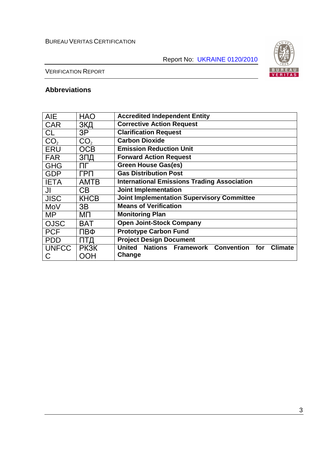Report No: UKRAINE 0120/2010



VERIFICATION REPORT

# **Abbreviations**

| <b>AIE</b>      | <b>HAO</b>      | <b>Accredited Independent Entity</b>                                   |  |  |  |  |  |
|-----------------|-----------------|------------------------------------------------------------------------|--|--|--|--|--|
| <b>CAR</b>      | ЗКД             | <b>Corrective Action Request</b>                                       |  |  |  |  |  |
| <b>CL</b>       | 3P              | <b>Clarification Request</b>                                           |  |  |  |  |  |
| CO <sub>2</sub> | CO <sub>2</sub> | <b>Carbon Dioxide</b>                                                  |  |  |  |  |  |
| <b>ERU</b>      | <b>OCB</b>      | <b>Emission Reduction Unit</b>                                         |  |  |  |  |  |
| <b>FAR</b>      | ЗПД             | <b>Forward Action Request</b>                                          |  |  |  |  |  |
| <b>GHG</b>      | ПΓ              | <b>Green House Gas(es)</b>                                             |  |  |  |  |  |
| <b>GDP</b>      | <b>LBU</b>      | <b>Gas Distribution Post</b>                                           |  |  |  |  |  |
| <b>IETA</b>     | <b>AMTB</b>     | <b>International Emissions Trading Association</b>                     |  |  |  |  |  |
| JI              | CB              | <b>Joint Implementation</b>                                            |  |  |  |  |  |
| <b>JISC</b>     | <b>KHCB</b>     | <b>Joint Implementation Supervisory Committee</b>                      |  |  |  |  |  |
| MoV             | 3 <sub>B</sub>  | <b>Means of Verification</b>                                           |  |  |  |  |  |
| MP              | ΜП              | <b>Monitoring Plan</b>                                                 |  |  |  |  |  |
| <b>OJSC</b>     | <b>BAT</b>      | <b>Open Joint-Stock Company</b>                                        |  |  |  |  |  |
| <b>PCF</b>      | ПВФ             | <b>Prototype Carbon Fund</b>                                           |  |  |  |  |  |
| <b>PDD</b>      | ПТД             | <b>Project Design Document</b>                                         |  |  |  |  |  |
| <b>UNFCC</b>    | <b>PK3K</b>     | United<br><b>Nations Framework Convention</b><br>for<br><b>Climate</b> |  |  |  |  |  |
| С               | OOH             | Change                                                                 |  |  |  |  |  |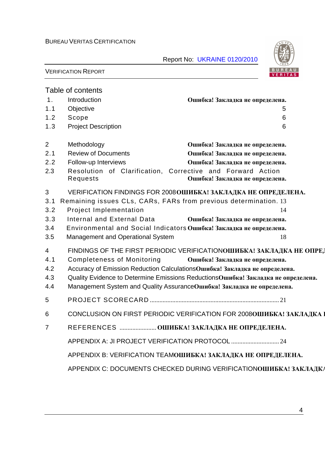Report No: UKRAINE 0120/2010



|                                                                                    | Table of contents                                                                                                                                                                                                                                                                                                                                          |                                                                                                                                                                                                                                                                                                                                                                                             |
|------------------------------------------------------------------------------------|------------------------------------------------------------------------------------------------------------------------------------------------------------------------------------------------------------------------------------------------------------------------------------------------------------------------------------------------------------|---------------------------------------------------------------------------------------------------------------------------------------------------------------------------------------------------------------------------------------------------------------------------------------------------------------------------------------------------------------------------------------------|
| 1 <sub>1</sub>                                                                     | Introduction                                                                                                                                                                                                                                                                                                                                               | Ошибка! Закладка не определена.                                                                                                                                                                                                                                                                                                                                                             |
| 1.1                                                                                | Objective                                                                                                                                                                                                                                                                                                                                                  | 5                                                                                                                                                                                                                                                                                                                                                                                           |
| 1.2                                                                                | Scope                                                                                                                                                                                                                                                                                                                                                      | 6                                                                                                                                                                                                                                                                                                                                                                                           |
| 1.3                                                                                | <b>Project Description</b>                                                                                                                                                                                                                                                                                                                                 | 6                                                                                                                                                                                                                                                                                                                                                                                           |
| $\overline{2}$                                                                     | Methodology                                                                                                                                                                                                                                                                                                                                                | Ошибка! Закладка не определена.                                                                                                                                                                                                                                                                                                                                                             |
| 2.1                                                                                | <b>Review of Documents</b>                                                                                                                                                                                                                                                                                                                                 | Ошибка! Закладка не определена.                                                                                                                                                                                                                                                                                                                                                             |
| 2.2                                                                                | Follow-up Interviews                                                                                                                                                                                                                                                                                                                                       | Ошибка! Закладка не определена.                                                                                                                                                                                                                                                                                                                                                             |
| 2.3                                                                                | Resolution of Clarification, Corrective and Forward Action                                                                                                                                                                                                                                                                                                 |                                                                                                                                                                                                                                                                                                                                                                                             |
|                                                                                    | Requests                                                                                                                                                                                                                                                                                                                                                   | Ошибка! Закладка не определена.                                                                                                                                                                                                                                                                                                                                                             |
| 3<br>3.1<br>3.2<br>3.3<br>3.4<br>3.5<br>$\overline{4}$<br>4.1<br>4.2<br>4.3<br>4.4 | Remaining issues CLs, CARs, FARs from previous determination. 13<br><b>Project Implementation</b><br>Internal and External Data<br>Environmental and Social Indicators Ошибка! Закладка не определена.<br>Management and Operational System<br><b>Completeness of Monitoring</b><br>Management System and Quality AssuranceОшибка! Закладка не определена. | VERIFICATION FINDINGS FOR 2008 ОШИБКА! ЗАКЛАДКА НЕ ОПРЕДЕЛЕНА.<br>14<br>Ошибка! Закладка не определена.<br>18<br>FINDINGS OF THE FIRST PERIODIC VERIFICATIONОШИБКА! ЗАКЛАДКА НЕ ОПРЕД<br>Ошибка! Закладка не определена.<br>Accuracy of Emission Reduction CalculationsОшибка! Закладка не определена.<br>Quality Evidence to Determine Emissions ReductionsОшибка! Закладка не определена. |
|                                                                                    |                                                                                                                                                                                                                                                                                                                                                            |                                                                                                                                                                                                                                                                                                                                                                                             |
| 5                                                                                  |                                                                                                                                                                                                                                                                                                                                                            |                                                                                                                                                                                                                                                                                                                                                                                             |
| 6                                                                                  |                                                                                                                                                                                                                                                                                                                                                            | CONCLUSION ON FIRST PERIODIC VERIFICATION FOR 2008 OIII MEKA! ЗАКЛАДКА 1                                                                                                                                                                                                                                                                                                                    |
| $\overline{7}$                                                                     | REFERENCES  ОШИБКА! ЗАКЛАДКА НЕ ОПРЕДЕЛЕНА.                                                                                                                                                                                                                                                                                                                |                                                                                                                                                                                                                                                                                                                                                                                             |
|                                                                                    |                                                                                                                                                                                                                                                                                                                                                            |                                                                                                                                                                                                                                                                                                                                                                                             |
|                                                                                    |                                                                                                                                                                                                                                                                                                                                                            | APPENDIX B: VERIFICATION ТЕАМОШИБКА! ЗАКЛАДКА НЕ ОПРЕДЕЛЕНА.                                                                                                                                                                                                                                                                                                                                |
|                                                                                    |                                                                                                                                                                                                                                                                                                                                                            | APPENDIX C: DOCUMENTS CHECKED DURING VERIFICATIONОШИБКА! ЗАКЛАДКА                                                                                                                                                                                                                                                                                                                           |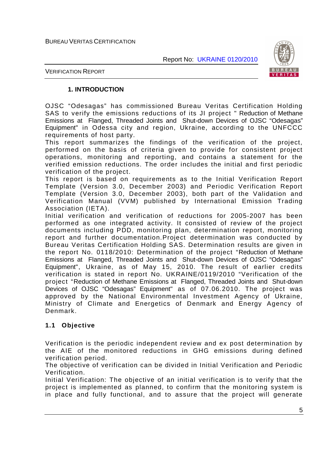

VERIFICATION REPORT

# **1. INTRODUCTION**

OJSC "Odesagas" has commissioned Bureau Veritas Certification Holding SAS to verify the emissions reductions of its JI project " Reduction of Methane Emissions at Flanged, Threaded Joints and Shut-down Devices of OJSC "Odesagas" Equipment" in Odessa city and region, Ukraine, according to the UNFCCC requirements of host party.

This report summarizes the findings of the verification of the project, performed on the basis of criteria given to provide for consistent project operations, monitoring and reporting, and contains a statement for the verified emission reductions. The order includes the initial and first periodic verification of the project.

This report is based on requirements as to the Initial Verification Report Template (Version 3.0, December 2003) and Periodic Verification Report Template (Version 3.0, December 2003), both part of the Validation and Verification Manual (VVM) published by International Emission Trading Association (IETA).

Initial verification and verification of reductions for 2005-2007 has been performed as one integrated activity. It consisted of review of the project documents including PDD, monitoring plan, determination report, monitoring report and further documentation.Project determination was conducted by Bureau Veritas Certification Holding SAS. Determination results are given in the report No. 0118/2010: Determination of the project "Reduction of Methane Emissions at Flanged, Threaded Joints and Shut-down Devices of OJSC "Odesagas" Equipment", Ukraine, as of May 15, 2010. The result of earlier credits verification is stated in report No. UKRAINE/0119/2010 "Verification of the project "Reduction of Methane Emissions at Flanged, Threaded Joints and Shut-down Devices of OJSC "Odesagas" Equipment" as of 07.06.2010. The project was approved by the National Environmental Investment Agency of Ukraine, Ministry of Climate and Energetics of Denmark and Energy Agency of Denmark.

#### **1.1 Objective**

Verification is the periodic independent review and ex post determination by the AIE of the monitored reductions in GHG emissions during defined verification period.

The objective of verification can be divided in Initial Verification and Periodic Verification.

Initial Verification: The objective of an initial verification is to verify that the project is implemented as planned, to confirm that the monitoring system is in place and fully functional, and to assure that the project will generate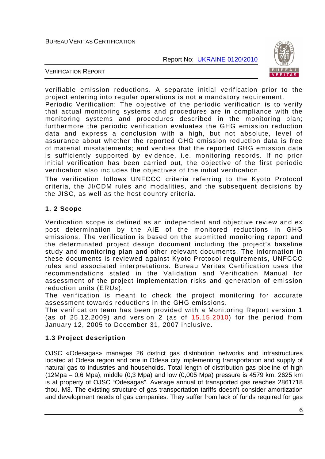

#### VERIFICATION REPORT

verifiable emission reductions. A separate initial verification prior to the project entering into regular operations is not a mandatory requirement.

Periodic Verification: The objective of the periodic verification is to verify that actual monitoring systems and procedures are in compliance with the monitoring systems and procedures described in the monitoring plan; furthermore the periodic verification evaluates the GHG emission reduction data and express a conclusion with a high, but not absolute, level of assurance about whether the reported GHG emission reduction data is free of material misstatements; and verifies that the reported GHG emission data is sufficiently supported by evidence, i.e. monitoring records. If no prior initial verification has been carried out, the objective of the first periodic verification also includes the objectives of the initial verification.

The verification follows UNFCCC criteria referring to the Kyoto Protocol criteria, the JI/CDM rules and modalities, and the subsequent decisions by the JISC, as well as the host country criteria.

# **1. 2 Scope**

Verification scope is defined as an independent and objective review and ex post determination by the AIE of the monitored reductions in GHG emissions. The verification is based on the submitted monitoring report and the determinated project design document including the project's baseline study and monitoring plan and other relevant documents. The information in these documents is reviewed against Kyoto Protocol requirements, UNFCCC rules and associated interpretations. Bureau Veritas Certification uses the recommendations stated in the Validation and Verification Manual for assessment of the project implementation risks and generation of emission reduction units (ERUs).

The verification is meant to check the project monitoring for accurate assessment towards reductions in the GHG emissions.

The verification team has been provided with a Monitoring Report version 1 (as of 25.12.2009) and version 2 (as of 15.15.2010) for the period from January 12, 2005 to December 31, 2007 inclusive.

#### **1.3 Project description**

OJSC «Odesagas» manages 26 district gas distribution networks and infrastructures located at Odesa region and one in Odesa city implementing transportation and supply of natural gas to industries and households. Total length of distribution gas pipeline of high (12Mpa – 0,6 Mpa), middle (0,3 Mpa) and low (0,005 Mpa) pressure is 4579 km. 2625 km is at property of OJSC "Odesagas". Average annual of transported gas reaches 2861718 thou. M3. The existing structure of gas transportation tariffs doesn't consider amortization and development needs of gas companies. They suffer from lack of funds required for gas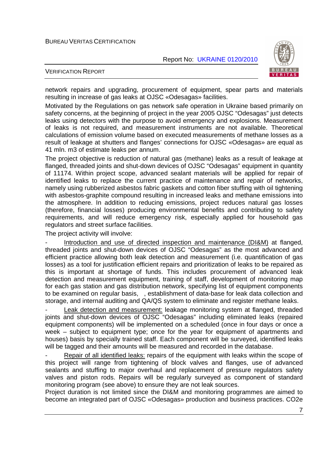Report No: UKRAINE 0120/2010

#### VERIFICATION REPORT



network repairs and upgrading, procurement of equipment, spear parts and materials resulting in increase of gas leaks at OJSC «Odesagas» facilities.

Motivated by the Regulations on gas network safe operation in Ukraine based primarily on safety concerns, at the beginning of project in the year 2005 OJSC "Odesagas" just detects leaks using detectors with the purpose to avoid emergency and explosions. Measurement of leaks is not required, and measurement instruments are not available. Theoretical calculations of emission volume based on executed measurements of methane losses as a result of leakage at shutters and flanges' connections for OJSC «Odesagas» are equal as 41 mln. m3 of estimate leaks per annum.

The project objective is reduction of natural gas (methane) leaks as a result of leakage at flanged, threaded joints and shut-down devices of OJSC "Odesagas" equipment in quantity of 11174. Within project scope, advanced sealant materials will be applied for repair of identified leaks to replace the current practice of maintenance and repair of networks, namely using rubberized asbestos fabric gaskets and cotton fiber stuffing with oil tightening with asbestos-graphite compound resulting in increased leaks and methane emissions into the atmosphere. In addition to reducing emissions, project reduces natural gas losses (therefore, financial losses) producing environmental benefits and contributing to safety requirements, and will reduce emergency risk, especially applied for household gas regulators and street surface facilities.

The project activity will involve:

Introduction and use of directed inspection and maintenance (DI&M) at flanged, threaded joints and shut-down devices of OJSC "Odesagas" as the most advanced and efficient practice allowing both leak detection and measurement (i.e. quantification of gas losses) as a tool for justification efficient repairs and prioritization of leaks to be repaired as this is important at shortage of funds. This includes procurement of advanced leak detection and measurement equipment, training of staff, development of monitoring map for each gas station and gas distribution network, specifying list of equipment components to be examined on regular basis, , establishment of data-base for leak data collection and storage, and internal auditing and QA/QS system to eliminate and register methane leaks.

Leak detection and measurement: leakage monitoring system at flanged, threaded joints and shut-down devices of OJSC "Odesagas" including eliminated leaks (repaired equipment components) will be implemented on a scheduled (once in four days or once a week – subject to equipment type; once for the year for equipment of apartments and houses) basis by specially trained staff. Each component will be surveyed, identified leaks will be tagged and their amounts will be measured and recorded in the database.

Repair of all identified leaks: repairs of the equipment with leaks within the scope of this project will range from tightening of block valves and flanges, use of advanced sealants and stuffing to major overhaul and replacement of pressure regulators safety valves and piston rods. Repairs will be regularly surveyed as component of standard monitoring program (see above) to ensure they are not leak sources.

Project duration is not limited since the DI&M and monitoring programmes are aimed to become an integrated part of OJSC «Odesagas» production and business practices. CO2e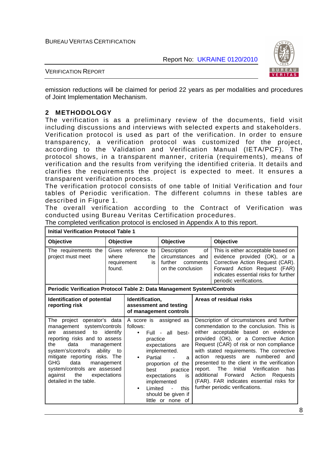

#### VERIFICATION REPORT

emission reductions will be claimed for period 22 years as per modalities and procedures of Joint Implementation Mechanism.

# **2 METHODOLOGY**

The verification is as a preliminary review of the documents, field visit including discussions and interviews with selected experts and stakeholders. Verification protocol is used as part of the verification. In order to ensure transparency, a verification protocol was customized for the project, according to the Validation and Verification Manual (IETA/PCF). The protocol shows, in a transparent manner, criteria (requirements), means of verification and the results from verifying the identified criteria. It details and clarifies the requirements the project is expected to meet. It ensures a transparent verification process.

The verification protocol consists of one table of Initial Verification and four tables of Periodic verification. The different columns in these tables are described in Figure 1.

The overall verification according to the Contract of Verification was conducted using Bureau Veritas Certification procedures.

The completed verification protocol is enclosed in Appendix A to this report.

| <b>Initial Verification Protocol Table 1</b>                                                                                 |                                                                                                                                                                                                                                                                                                                                                                                                                                                                                                             |                                                                                                     |                                                         |                                                                                                                                                                                                                                                                                                                                                                                                                                                                                                                                 |                                                                                                                                                                                                            |  |
|------------------------------------------------------------------------------------------------------------------------------|-------------------------------------------------------------------------------------------------------------------------------------------------------------------------------------------------------------------------------------------------------------------------------------------------------------------------------------------------------------------------------------------------------------------------------------------------------------------------------------------------------------|-----------------------------------------------------------------------------------------------------|---------------------------------------------------------|---------------------------------------------------------------------------------------------------------------------------------------------------------------------------------------------------------------------------------------------------------------------------------------------------------------------------------------------------------------------------------------------------------------------------------------------------------------------------------------------------------------------------------|------------------------------------------------------------------------------------------------------------------------------------------------------------------------------------------------------------|--|
| Objective                                                                                                                    | Objective                                                                                                                                                                                                                                                                                                                                                                                                                                                                                                   |                                                                                                     | Objective                                               |                                                                                                                                                                                                                                                                                                                                                                                                                                                                                                                                 | Objective                                                                                                                                                                                                  |  |
| The requirements the<br>project must meet                                                                                    | where<br>requirement<br>found.                                                                                                                                                                                                                                                                                                                                                                                                                                                                              | Gives reference to<br>Description<br>circumstances and<br>the<br>further<br>is<br>on the conclusion |                                                         | of<br>comments                                                                                                                                                                                                                                                                                                                                                                                                                                                                                                                  | This is either acceptable based on<br>evidence provided (OK), or a<br>Corrective Action Request (CAR).<br>Forward Action Request (FAR)<br>indicates essential risks for further<br>periodic verifications. |  |
| Periodic Verification Protocol Table 2: Data Management System/Controls                                                      |                                                                                                                                                                                                                                                                                                                                                                                                                                                                                                             |                                                                                                     |                                                         |                                                                                                                                                                                                                                                                                                                                                                                                                                                                                                                                 |                                                                                                                                                                                                            |  |
| Identification of potential<br>reporting risk                                                                                |                                                                                                                                                                                                                                                                                                                                                                                                                                                                                                             | Identification,<br>assessment and testing<br>of management controls                                 |                                                         | Areas of residual risks                                                                                                                                                                                                                                                                                                                                                                                                                                                                                                         |                                                                                                                                                                                                            |  |
| assessed<br>to<br>are<br>the<br>data<br>system's/control's<br><b>GHG</b><br>data<br>against<br>the<br>detailed in the table. | The project operator's data<br>A score is assigned as<br>management system/controls<br>follows:<br>identify<br>Full - all best-<br>$\bullet$<br>reporting risks and to assess<br>practice<br>management<br>expectations<br>ability<br>implemented.<br>to<br>mitigate reporting risks. The<br>Partial<br>$\bullet$<br>management<br>proportion of the<br>system/controls are assessed<br>best<br>expectations<br>expectations<br>implemented<br>Limited<br>$\overline{a}$<br>$\bullet$<br>should be given if |                                                                                                     | are<br>a<br>practice<br>is<br>this<br>little or none of | Description of circumstances and further<br>commendation to the conclusion. This is<br>either acceptable based on evidence<br>provided (OK), or a Corrective Action<br>Request (CAR) of risk or non compliance<br>with stated requirements. The corrective<br>action requests are numbered<br>and<br>presented to the client in the verification<br>Initial<br>Verification<br>report. The<br>has<br>additional<br>Forward<br>Action<br>Requests<br>(FAR). FAR indicates essential risks for<br>further periodic verifications. |                                                                                                                                                                                                            |  |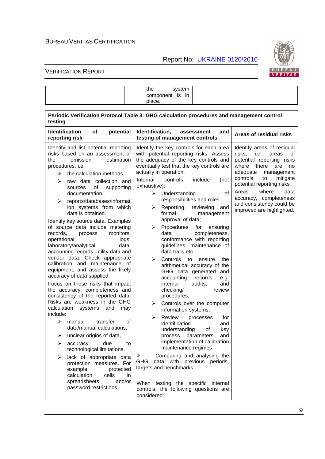Report No: UKRAINE 0120/2010



#### VERIFICATION REPORT

| component is in<br>place. |
|---------------------------|
|---------------------------|

**Periodic Verification Protocol Table 3: GHG calculation procedures and management control** 

| Identification<br>οf<br>potential<br>reporting risk                                                                                                                                                                                                                                                                                                                                                                                                                                                                                                                                                                                                                                                                                                                                                                                                                                                                                                                                                                                                                                                                                                                                                                      | Identification,<br>and<br>assessment<br>testing of management controls                                                                                                                                                                                                                                                                                                                                                                                                                                                                                                                                                                                                                                                                                                                                                                                                                                                                                                                                                                                                                                                                                                                                              | Areas of residual risks                                                                                                                                                                                                                                                                                                   |
|--------------------------------------------------------------------------------------------------------------------------------------------------------------------------------------------------------------------------------------------------------------------------------------------------------------------------------------------------------------------------------------------------------------------------------------------------------------------------------------------------------------------------------------------------------------------------------------------------------------------------------------------------------------------------------------------------------------------------------------------------------------------------------------------------------------------------------------------------------------------------------------------------------------------------------------------------------------------------------------------------------------------------------------------------------------------------------------------------------------------------------------------------------------------------------------------------------------------------|---------------------------------------------------------------------------------------------------------------------------------------------------------------------------------------------------------------------------------------------------------------------------------------------------------------------------------------------------------------------------------------------------------------------------------------------------------------------------------------------------------------------------------------------------------------------------------------------------------------------------------------------------------------------------------------------------------------------------------------------------------------------------------------------------------------------------------------------------------------------------------------------------------------------------------------------------------------------------------------------------------------------------------------------------------------------------------------------------------------------------------------------------------------------------------------------------------------------|---------------------------------------------------------------------------------------------------------------------------------------------------------------------------------------------------------------------------------------------------------------------------------------------------------------------------|
| Identify and list potential reporting<br>risks based on an assessment of<br>emission<br>the<br>estimation<br>procedures, i.e.<br>the calculation methods,<br>➤<br>raw data collection and<br>⋗<br>of<br>supporting<br>sources<br>documentation,<br>≻<br>reports/databases/informat<br>ion systems from which<br>data is obtained.<br>Identify key source data. Examples<br>of source data include metering<br>records,<br>process<br>monitors,<br>operational<br>logs,<br>laboratory/analytical<br>data.<br>accounting records, utility data and<br>vendor data. Check appropriate<br>calibration and maintenance of<br>equipment, and assess the likely<br>accuracy of data supplied.<br>Focus on those risks that impact<br>the accuracy, completeness and<br>consistency of the reported data.<br>Risks are weakness in the GHG<br>calculation<br>systems<br>and<br>may<br>include:<br>➤<br>manual<br>transfer<br>οf<br>data/manual calculations,<br>➤<br>unclear origins of data,<br>due<br>➤<br>accuracy<br>to<br>technological limitations,<br>lack of appropriate data<br>≻<br>protection measures. For<br>example,<br>protected<br>calculation<br>cells<br>in<br>and/or<br>spreadsheets<br>password restrictions | Identify the key controls for each area<br>with potential reporting risks. Assess<br>the adequacy of the key controls and<br>eventually test that the key controls are<br>actually in operation.<br>Internal<br>controls<br>include<br>(not<br>exhaustive):<br>≻<br>Understanding<br>οf<br>responsibilities and roles<br>Reporting,<br>reviewing<br>⋗<br>and<br>formal<br>management<br>approval of data;<br>Procedures<br>for<br>ensuring<br>⋗<br>completeness,<br>data<br>conformance with reporting<br>guidelines, maintenance of<br>data trails etc.<br>Controls to<br>➤<br>ensure<br>the<br>arithmetical accuracy of the<br>GHG data generated and<br>accounting<br>records<br>e.g.<br>internal<br>audits,<br>and<br>checking/<br>review<br>procedures;<br>Controls over the computer<br>≻<br>information systems;<br>Review<br>processes<br>⋗<br>for<br>identification<br>and<br>understanding<br>οf<br>key<br>and<br>process<br>parameters<br>implementation of calibration<br>maintenance regimes<br>Comparing and analysing the<br>➤<br><b>GHG</b><br>data with previous periods,<br>targets and benchmarks.<br>When testing the specific internal<br>controls, the following questions are<br>considered: | Identify areas of residual<br>risks.<br>i.e.<br>areas<br>οf<br>potential reporting risks<br>where<br>there<br>are<br>no<br>adequate<br>management<br>controls<br>mitigate<br>to<br>potential reporting risks<br>Areas<br>where<br>data<br>accuracy, completeness<br>and consistency could be<br>improved are highlighted. |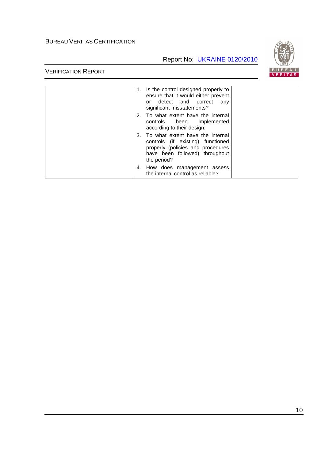Report No: UKRAINE 0120/2010



| 1. Is the control designed properly to<br>ensure that it would either prevent<br>or detect and correct<br>any<br>significant misstatements?                    |
|----------------------------------------------------------------------------------------------------------------------------------------------------------------|
| 2. To what extent have the internal<br>controls been implemented<br>according to their design;                                                                 |
| 3. To what extent have the internal<br>controls (if existing) functioned<br>properly (policies and procedures<br>have been followed) throughout<br>the period? |
| 4. How does management assess<br>the internal control as reliable?                                                                                             |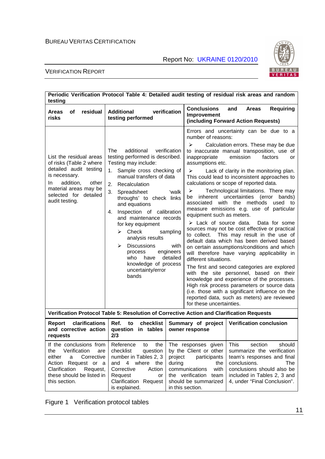Report No: UKRAINE 0120/2010



#### VERIFICATION REPORT

| Periodic Verification Protocol Table 4: Detailed audit testing of residual risk areas and random<br>testing                                                                                                                                                                                                                                                                                                                                                                                                                                                                                                                                                                                                                |                                                                                                                        |                   |                                                                                                                                                                                                                                                                                                                                                                                                                                                                                                                                                                                                                                                                                                                                                                                                                                                                                                                                                                                                                                                                                                                                                                                                                   |                                                                                                                                                   |  |
|----------------------------------------------------------------------------------------------------------------------------------------------------------------------------------------------------------------------------------------------------------------------------------------------------------------------------------------------------------------------------------------------------------------------------------------------------------------------------------------------------------------------------------------------------------------------------------------------------------------------------------------------------------------------------------------------------------------------------|------------------------------------------------------------------------------------------------------------------------|-------------------|-------------------------------------------------------------------------------------------------------------------------------------------------------------------------------------------------------------------------------------------------------------------------------------------------------------------------------------------------------------------------------------------------------------------------------------------------------------------------------------------------------------------------------------------------------------------------------------------------------------------------------------------------------------------------------------------------------------------------------------------------------------------------------------------------------------------------------------------------------------------------------------------------------------------------------------------------------------------------------------------------------------------------------------------------------------------------------------------------------------------------------------------------------------------------------------------------------------------|---------------------------------------------------------------------------------------------------------------------------------------------------|--|
| residual<br>Areas<br>оf<br>risks                                                                                                                                                                                                                                                                                                                                                                                                                                                                                                                                                                                                                                                                                           | verification<br>Additional<br>testing performed                                                                        |                   | <b>Conclusions</b><br>Improvement                                                                                                                                                                                                                                                                                                                                                                                                                                                                                                                                                                                                                                                                                                                                                                                                                                                                                                                                                                                                                                                                                                                                                                                 | and<br><b>Areas</b><br><b>Requiring</b><br>(including Forward Action Requests)                                                                    |  |
| The<br>additional<br>verification<br>List the residual areas<br>testing performed is described.<br>of risks (Table 2 where<br>Testing may include:<br>detailed audit testing<br>Sample cross checking of<br>1.<br>is necessary.<br>manual transfers of data<br>addition,<br>other<br>In.<br>2.<br>Recalculation<br>material areas may be<br>3.<br>Spreadsheet<br>selected for detailed<br>throughs' to check links<br>audit testing.<br>and equations<br>Inspection of calibration<br>4.<br>and maintenance records<br>for key equipment<br>Check<br>⋗<br>sampling<br>analysis results<br><b>Discussions</b><br>➤<br>engineers<br>process<br>who<br>detailed<br>have<br>knowledge of process<br>uncertainty/error<br>bands |                                                                                                                        | 'walk<br>with     | number of reasons:<br>$\blacktriangleright$<br>Calculation errors. These may be due<br>to inaccurate manual transposition, use of<br>emission<br>inappropriate<br>factors<br>or<br>assumptions etc.<br>≻<br>Lack of clarity in the monitoring plan.<br>This could lead to inconsistent approaches to<br>calculations or scope of reported data.<br>Technological limitations. There may<br>≻<br>inherent uncertainties (error bands)<br>be<br>associated with the methods used to<br>measure emissions e.g. use of particular<br>equipment such as meters.<br>$\triangleright$ Lack of source data.<br>Data for some<br>sources may not be cost effective or practical<br>This may result in the use of<br>to collect.<br>default data which has been derived based<br>on certain assumptions/conditions and which<br>will therefore have varying applicability in<br>different situations.<br>The first and second categories are explored<br>with the site personnel, based on their<br>knowledge and experience of the processes.<br>High risk process parameters or source data<br>(i.e. those with a significant influence on the<br>reported data, such as meters) are reviewed<br>for these uncertainties. |                                                                                                                                                   |  |
|                                                                                                                                                                                                                                                                                                                                                                                                                                                                                                                                                                                                                                                                                                                            | Verification Protocol Table 5: Resolution of Corrective Action and Clarification Requests                              |                   |                                                                                                                                                                                                                                                                                                                                                                                                                                                                                                                                                                                                                                                                                                                                                                                                                                                                                                                                                                                                                                                                                                                                                                                                                   |                                                                                                                                                   |  |
| clarifications<br>Report<br>and corrective action<br>requests                                                                                                                                                                                                                                                                                                                                                                                                                                                                                                                                                                                                                                                              | Ref.<br>to<br>checklist<br>question in tables<br>2/3                                                                   |                   | Summary of project<br>owner response                                                                                                                                                                                                                                                                                                                                                                                                                                                                                                                                                                                                                                                                                                                                                                                                                                                                                                                                                                                                                                                                                                                                                                              | <b>Verification conclusion</b>                                                                                                                    |  |
| If the conclusions from<br>the<br>Verification<br>are<br>either<br>a<br>Corrective<br>Action Request or a<br>Clarification<br>Request,                                                                                                                                                                                                                                                                                                                                                                                                                                                                                                                                                                                     | Reference<br>the<br>to<br>checklist<br>question<br>number in Tables 2, 3<br>4 where the<br>and<br>Corrective<br>Action | project<br>during | The responses given<br>by the Client or other<br>participants<br>the<br>with<br>communications                                                                                                                                                                                                                                                                                                                                                                                                                                                                                                                                                                                                                                                                                                                                                                                                                                                                                                                                                                                                                                                                                                                    | <b>This</b><br>section<br>should<br>summarize the verification<br>team's responses and final<br>conclusions.<br>The<br>conclusions should also be |  |

Clarification Request | should be summarized | 4, under "Final Conclusion".

the verification team

Figure 1 Verification protocol tables

Request or

is explained. in this section.

these should be listed in

this section.

included in Tables 2, 3 and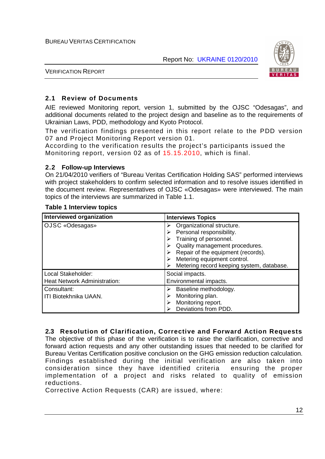

VERIFICATION REPORT

# **2.1 Review of Documents**

AIE reviewed Monitoring report, version 1, submitted by the OJSC "Odesagas", and additional documents related to the project design and baseline as to the requirements of Ukrainian Laws, PDD, methodology and Kyoto Protocol.

The verification findings presented in this report relate to the PDD version 07 and Project Monitoring Report version 01.

According to the verification results the project's participants issued the Monitoring report, version 02 as of 15.15.2010, which is final.

#### **2.2 Follow-up Interviews**

On 21/04/2010 verifiers of "Bureau Veritas Certification Holding SAS" performed interviews with project stakeholders to confirm selected information and to resolve issues identified in the document review. Representatives of OJSC «Odesagas» were interviewed. The main topics of the interviews are summarized in Table 1.1.

| Interviewed organization     | <b>Interviews Topics</b>                  |  |
|------------------------------|-------------------------------------------|--|
| OJSC «Odesagas»              | Organizational structure.                 |  |
|                              | Personal responsibility.                  |  |
|                              | Training of personnel.                    |  |
|                              | Quality management procedures.            |  |
|                              | Repair of the equipment (records).        |  |
|                              | Metering equipment control.               |  |
|                              | Metering record keeping system, database. |  |
| Local Stakeholder:           | Social impacts.                           |  |
| Heat Network Administration: | Environmental impacts.                    |  |
| Consultant:                  | Baseline methodology.                     |  |
| <b>ITI Biotekhnika UAAN.</b> | Monitoring plan.                          |  |
|                              | Monitoring report.                        |  |
|                              | Deviations from PDD.                      |  |

#### **Table 1 Interview topics**

#### **2.3 Resolution of Clarification, Corrective and Forward Action Requests**

The objective of this phase of the verification is to raise the clarification, corrective and forward action requests and any other outstanding issues that needed to be clarified for Bureau Veritas Certification positive conclusion on the GHG emission reduction calculation. Findings established during the initial verification are also taken into consideration since they have identified criteria ensuring the proper implementation of a project and risks related to quality of emission reductions.

Corrective Action Requests (CAR) are issued, where: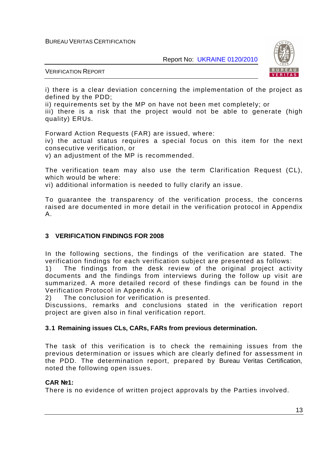

VERIFICATION REPORT

i) there is a clear deviation concerning the implementation of the project as defined by the PDD;

ii) requirements set by the MP on have not been met completely; or

iii) there is a risk that the project would not be able to generate (high quality) ERUs.

Forward Action Requests (FAR) are issued, where:

iv) the actual status requires a special focus on this item for the next consecutive verification, or

v) an adjustment of the MP is recommended.

The verification team may also use the term Clarification Request (CL), which would be where:

vi) additional information is needed to fully clarify an issue.

To guarantee the transparency of the verification process, the concerns raised are documented in more detail in the verification protocol in Appendix  $A<sub>1</sub>$ 

# **3 VERIFICATION FINDINGS FOR 2008**

In the following sections, the findings of the verification are stated. The verification findings for each verification subject are presented as follows:

1) The findings from the desk review of the original project activity documents and the findings from interviews during the follow up visit are summarized. A more detailed record of these findings can be found in the Verification Protocol in Appendix A.

2) The conclusion for verification is presented.

Discussions, remarks and conclusions stated in the verification report project are given also in final verification report.

#### **3.1 Remaining issues CLs, CARs, FARs from previous determination.**

The task of this verification is to check the remaining issues from the previous determination or issues which are clearly defined for assessment in the PDD. The determination report, prepared by Bureau Veritas Certification, noted the following open issues.

#### **CAR №1:**

There is no evidence of written project approvals by the Parties involved.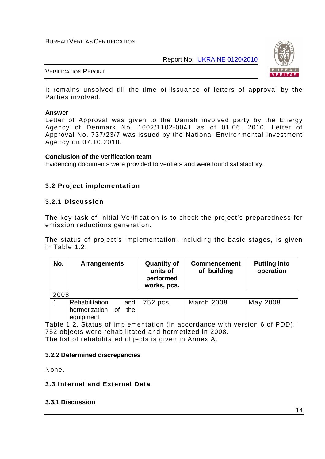Report No: UKRAINE 0120/2010



VERIFICATION REPORT

It remains unsolved till the time of issuance of letters of approval by the Parties involved.

#### **Answer**

Letter of Approval was given to the Danish involved party by the Energy Agency of Denmark No. 1602/1102-0041 as of 01.06. 2010. Letter of Approval No. 737/23/7 was issued by the National Environmental Investment Agency on 07.10.2010.

#### **Conclusion of the verification team**

Evidencing documents were provided to verifiers and were found satisfactory.

#### **3.2 Project implementation**

#### **3.2.1 Discussion**

The key task of Initial Verification is to check the project's preparedness for emission reductions generation.

The status of project's implementation, including the basic stages, is given in Table 1.2.

| No.  | <b>Arrangements</b>                                           | <b>Quantity of</b><br>units of<br>performed<br>works, pcs. | <b>Commencement</b><br>of building | <b>Putting into</b><br>operation |
|------|---------------------------------------------------------------|------------------------------------------------------------|------------------------------------|----------------------------------|
| 2008 |                                                               |                                                            |                                    |                                  |
|      | Rehabilitation<br>and<br>hermetization of<br>the<br>equipment | 752 pcs.                                                   | <b>March 2008</b>                  | May 2008                         |

Table 1.2. Status of implementation (in accordance with version 6 of PDD). 752 objects were rehabilitated and hermetized in 2008. The list of rehabilitated objects is given in Annex A.

#### **3.2.2 Determined discrepancies**

None.

#### **3.3 Internal and External Data**

**3.3.1 Discussion**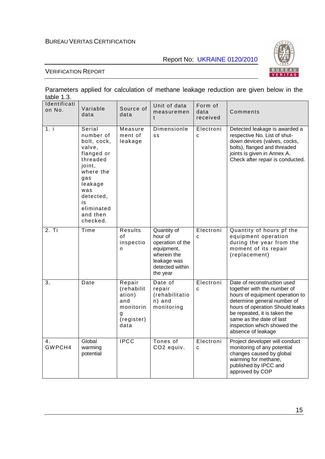Report No: UKRAINE 0120/2010



#### VERIFICATION REPORT

| Identificati<br>on No. | Variable<br>data                                                                                                                                                                | Source of<br>data                                                             | Unit of data<br>measuremen<br>t                                                                                       | Form of<br>data<br>received | Comments                                                                                                                                                                                                                                                                         |
|------------------------|---------------------------------------------------------------------------------------------------------------------------------------------------------------------------------|-------------------------------------------------------------------------------|-----------------------------------------------------------------------------------------------------------------------|-----------------------------|----------------------------------------------------------------------------------------------------------------------------------------------------------------------------------------------------------------------------------------------------------------------------------|
| 1. i                   | Serial<br>number of<br>bolt, cock,<br>valve,<br>flanged or<br>threaded<br>joint,<br>where the<br>gas<br>leakage<br>was<br>detected,<br>is<br>eliminated<br>and then<br>checked. | Measure<br>ment of<br>leakage                                                 | Dimensionle<br>SS                                                                                                     | Electroni<br>C              | Detected leakage is awarded a<br>respective No. List of shut-<br>down devices (valves, cocks,<br>bolts), flanged and threaded<br>joints is given in Annex A.<br>Check after repair is conducted.                                                                                 |
| 2. Ti                  | Time                                                                                                                                                                            | Results<br>οf<br>inspectio<br>n                                               | Quantity of<br>hour of<br>operation of the<br>equipment,<br>wherein the<br>leakage was<br>detected within<br>the year | Electroni<br>C              | Quantity of hours pf the<br>equipment operation<br>during the year from the<br>moment of its repair<br>(replacement)                                                                                                                                                             |
| 3.                     | Date                                                                                                                                                                            | Repair<br>(rehabilit<br>ation)<br>and<br>monitorin<br>g<br>(register)<br>data | Date of<br>repair<br>(rehabilitatio<br>n) and<br>monitoring                                                           | Electroni<br>C              | Date of reconstruction used<br>together with the number of<br>hours of equipment operation to<br>determine general number of<br>hours of operation Should leaks<br>be repeated, it is taken the<br>same as the date of last<br>inspection which showed the<br>absence of leakage |
| 4.<br>GWPCH4           | Global<br>warming<br>potential                                                                                                                                                  | <b>IPCC</b>                                                                   | Tones of<br>CO2 equiv.                                                                                                | Electroni<br>C              | Project developer will conduct<br>monitoring of any potential<br>changes caused by global<br>warming for methane,<br>published by IPCC and<br>approved by COP                                                                                                                    |

Parameters applied for calculation of methane leakage reduction are given below in the table 1.3.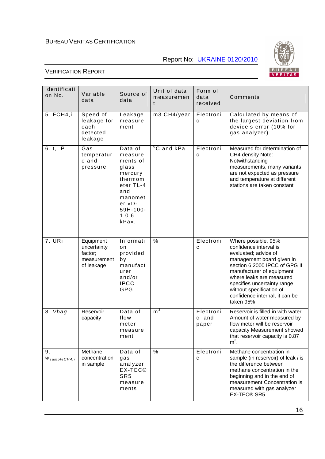# Report No: UKRAINE 0120/2010



| Identificati<br>on No. | Variable<br>data                                                 | Source of<br>data                                                                                                                   | Unit of data<br>measuremen<br>t | Form of<br>data<br>received | Comments                                                                                                                                                                                                                                                                                               |
|------------------------|------------------------------------------------------------------|-------------------------------------------------------------------------------------------------------------------------------------|---------------------------------|-----------------------------|--------------------------------------------------------------------------------------------------------------------------------------------------------------------------------------------------------------------------------------------------------------------------------------------------------|
| 5. $FCH4, i$           | Speed of<br>leakage for<br>each<br>detected<br>leakage           | Leakage<br>measure<br>ment                                                                                                          | m3 CH4/year                     | Electroni<br>C              | Calculated by means of<br>the largest deviation from<br>device's error (10% for<br>gas analyzer)                                                                                                                                                                                                       |
| 6. t, P                | Gas<br>temperatur<br>e and<br>pressure                           | Data of<br>measure<br>ments of<br>glass<br>mercury<br>thermom<br>eter TL-4<br>and<br>manomet<br>er «D-<br>59H-100-<br>1.06<br>kPa». | $\overline{{}^0C}$ and kPa      | Electroni<br>с              | Measured for determination of<br>CH4 density Note:<br>Notwithstanding<br>measurements, many variants<br>are not expected as pressure<br>and temperature at different<br>stations are taken constant                                                                                                    |
| 7. URi                 | Equipment<br>uncertainty<br>factor;<br>measurement<br>of leakage | Informati<br>on<br>provided<br>by<br>manufact<br>urer<br>and/or<br><b>IPCC</b><br>GPG                                               | $\%$                            | Electroni<br>с              | Where possible, 95%<br>confidence interval is<br>evaluated; advice of<br>management board given in<br>section 6 2000 IPCC of GPG If<br>manufacturer of equipment<br>where leaks are measured<br>specifies uncertainty range<br>without specification of<br>confidence internal, it can be<br>taken 95% |
| 8. Vbag                | Reservoir<br>capacity                                            | Data of<br>flow<br>meter<br>measure<br>ment                                                                                         | m <sup>3</sup>                  | Electroni<br>c and<br>paper | Reservoir is filled in with water.<br>Amount of water measured by<br>flow meter will be reservoir<br>capacity Measurement showed<br>that reservoir capacity is 0.87<br>$m3$ .                                                                                                                          |
| 9.<br>$W$ sampleCH4,i  | Methane<br>concentration<br>in sample                            | Data of<br>gas<br>analyzer<br>EX-TEC®<br>SR <sub>5</sub><br>measure<br>ments                                                        | $\frac{9}{6}$                   | Electroni<br>с              | Methane concentration in<br>sample (in reservoir) of leak i is<br>the difference between<br>methane concentration in the<br>beginning and in the end of<br>measurement Concentration is<br>measured with gas analyzer<br>EX-TEC® SR5.                                                                  |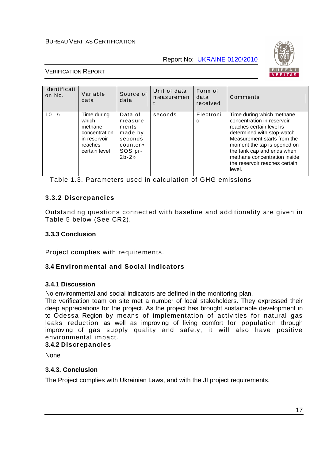

#### VERIFICATION REPORT

| Identificati<br>on No. | Variable<br>data                                                                             | Source of<br>data                                                                   | Unit of data<br>measuremen | Form of<br>data<br>received | Comments                                                                                                                                                                                                                                                                                  |
|------------------------|----------------------------------------------------------------------------------------------|-------------------------------------------------------------------------------------|----------------------------|-----------------------------|-------------------------------------------------------------------------------------------------------------------------------------------------------------------------------------------------------------------------------------------------------------------------------------------|
| 10. $T_i$              | Time during<br>which<br>methane<br>concentration<br>in reservoir<br>reaches<br>certain level | Data of<br>measure<br>ments<br>made by<br>seconds<br>counter«<br>SOS pr-<br>$2b-2*$ | seconds                    | Electroni<br>C              | Time during which methane<br>concentration in reservoir<br>reaches certain level is<br>determined with stop-watch.<br>Measurement starts from the<br>moment the tap is opened on<br>the tank cap and ends when<br>methane concentration inside<br>the reservoir reaches certain<br>level. |

Table 1.3. Parameters used in calculation of GHG emissions

# **3.3.2 Discrepancies**

Outstanding questions connected with baseline and additionality are given in Table 5 below (See CR2).

#### **3.3.3 Conclusion**

Project complies with requirements.

#### **3.4 Environmental and Social Indicators**

#### **3.4.1 Discussion**

No environmental and social indicators are defined in the monitoring plan.

The verification team on site met a number of local stakeholders. They expressed their deep appreciations for the project. As the project has brought sustainable development in to Odessa Region by means of implementation of activities for natural gas leaks reduction as well as improving of living comfort for population through improving of gas supply quality and safety, it will also have positive environmental impact.

# **3.4.2 Discrepancies**

None

#### **3.4.3. Conclusion**

The Project complies with Ukrainian Laws, and with the JI project requirements.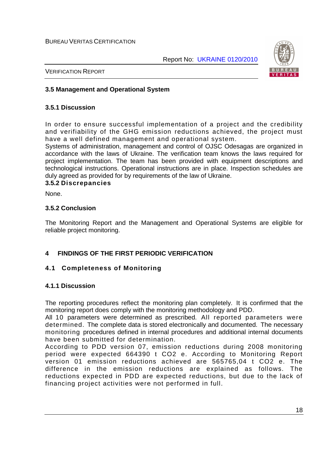

VERIFICATION REPORT

# **3.5 Management and Operational System**

#### **3.5.1 Discussion**

In order to ensure successful implementation of a project and the credibility and verifiability of the GHG emission reductions achieved, the project must have a well defined management and operational system.

Systems of administration, management and control of OJSC Odesagas are organized in accordance with the laws of Ukraine. The verification team knows the laws required for project implementation. The team has been provided with equipment descriptions and technological instructions. Operational instructions are in place. Inspection schedules are duly agreed as provided for by requirements of the law of Ukraine.

#### **3.5.2 Discrepancies**

None.

#### **3.5.2 Conclusion**

The Monitoring Report and the Management and Operational Systems are eligible for reliable project monitoring.

#### **4 FINDINGS OF THE FIRST PERIODIC VERIFICATION**

#### **4.1 Completeness of Monitoring**

#### **4.1.1 Discussion**

The reporting procedures reflect the monitoring plan completely. It is confirmed that the monitoring report does comply with the monitoring methodology and PDD.

All 10 parameters were determined as prescribed. All reported parameters were determined. The complete data is stored electronically and documented. The necessary monitoring procedures defined in internal procedures and additional internal documents have been submitted for determination.

According to PDD version 07, emission reductions during 2008 monitoring period were expected 664390 t CO2 e. According to Monitoring Report version 01 emission reductions achieved are 565765,04 t CO2 e. The difference in the emission reductions are explained as follows. The reductions expected in PDD are expected reductions, but due to the lack of financing project activities were not performed in full.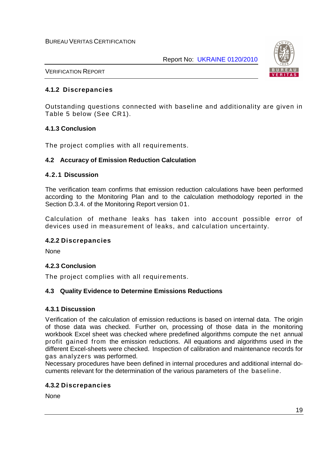

VERIFICATION REPORT

# **4.1.2 Discrepancies**

Outstanding questions connected with baseline and additionality are given in Table 5 below (See CR1).

# **4.1.3 Conclusion**

The project complies with all requirements.

# **4.2 Accuracy of Emission Reduction Calculation**

#### **4.2.1 Discussion**

The verification team confirms that emission reduction calculations have been performed according to the Monitoring Plan and to the calculation methodology reported in the Section D.3.4. of the Monitoring Report version 01.

Calculation of methane leaks has taken into account possible error of devices used in measurement of leaks, and calculation uncertainty.

#### **4.2.2 Discrepancies**

None

#### **4.2.3 Conclusion**

The project complies with all requirements.

#### **4.3 Quality Evidence to Determine Emissions Reductions**

#### **4.3.1 Discussion**

Verification of the calculation of emission reductions is based on internal data. The origin of those data was checked. Further on, processing of those data in the monitoring workbook Excel sheet was checked where predefined algorithms compute the net annual profit gained from the emission reductions. All equations and algorithms used in the different Excel-sheets were checked. Inspection of calibration and maintenance records for gas analyzers was performed.

Necessary procedures have been defined in internal procedures and additional internal documents relevant for the determination of the various parameters of the baseline.

#### **4.3.2 Discrepancies**

None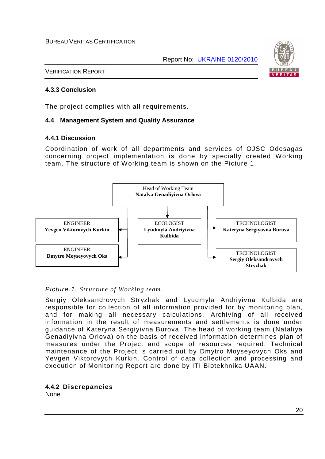

VERIFICATION REPORT

# **4.3.3 Conclusion**

The project complies with all requirements.

#### **4.4 Management System and Quality Assurance**

#### **4.4.1 Discussion**

Coordination of work of all departments and services of OJSC Odesagas concerning project implementation is done by specially created Working team. The structure of Working team is shown on the Picture 1.



#### Picture.1. *Structure of Working team*.

Sergiy Oleksandrovych Stryzhak and Lyudmyla Andriyivna Kulbida are responsible for collection of all information provided for by monitoring plan, and for making all necessary calculations. Archiving of all received information in the result of measurements and settlements is done under guidance of Kateryna Sergiyivna Burova. The head of working team (Nataliya Genadiyivna Orlova) on the basis of received information determines plan of measures under the Project and scope of resources required. Technical maintenance of the Project is carried out by Dmytro Moyseyovych Oks and Yevgen Viktorovych Kurkin. Control of data collection and processing and execution of Monitoring Report are done by ITI Biotekhnika UAAN.

#### **4.4.2 Discrepancies**

None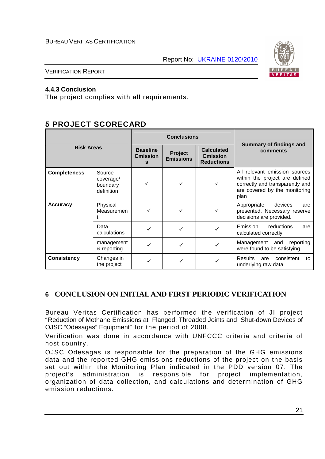

VERIFICATION REPORT

#### **4.4.3 Conclusion**

The project complies with all requirements.

# **5 PROJECT SCORECARD**

|                     |                                               |                                         | <b>Conclusions</b>          | Summary of findings and                                   |                                                                                                                                             |
|---------------------|-----------------------------------------------|-----------------------------------------|-----------------------------|-----------------------------------------------------------|---------------------------------------------------------------------------------------------------------------------------------------------|
| <b>Risk Areas</b>   |                                               | <b>Baseline</b><br><b>Emission</b><br>s | Project<br><b>Emissions</b> | <b>Calculated</b><br><b>Emission</b><br><b>Reductions</b> | comments                                                                                                                                    |
| <b>Completeness</b> | Source<br>coverage/<br>boundary<br>definition |                                         |                             |                                                           | All relevant emission sources<br>within the project are defined<br>correctly and transparently and<br>are covered by the monitoring<br>plan |
| <b>Accuracy</b>     | Physical<br>Measuremen                        |                                         |                             |                                                           | Appropriate<br>devices<br>are<br>presented. Necessary reserve<br>decisions are provided.                                                    |
|                     | Data<br>calculations                          |                                         |                             |                                                           | Emission<br>reductions<br>are<br>calculated correctly                                                                                       |
|                     | management<br>& reporting                     |                                         |                             |                                                           | Management and<br>reporting<br>were found to be satisfying.                                                                                 |
| <b>Consistency</b>  | Changes in<br>the project                     |                                         |                             |                                                           | <b>Results</b><br>consistent<br>are<br>to<br>underlying raw data.                                                                           |

# **6 CONCLUSION ON INITIAL AND FIRST PERIODIC VERIFICATION**

Bureau Veritas Certification has performed the verification of JI project "Reduction of Methane Emissions at Flanged, Threaded Joints and Shut-down Devices of OJSC "Odesagas" Equipment" for the period of 2008.

Verification was done in accordance with UNFCCC criteria and criteria of host country.

OJSC Odesagas is responsible for the preparation of the GHG emissions data and the reported GHG emissions reductions of the project on the basis set out within the Monitoring Plan indicated in the PDD version 07. The project's administration is responsible for project implementation, organization of data collection, and calculations and determination of GHG emission reductions.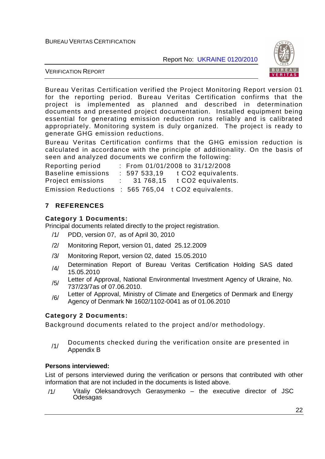Report No: UKRAINE 0120/2010



VERIFICATION REPORT

Bureau Veritas Certification verified the Project Monitoring Report version 01 for the reporting period. Bureau Veritas Certification confirms that the project is implemented as planned and described in determination documents and presented project documentation. Installed equipment being essential for generating emission reduction runs reliably and is calibrated appropriately. Monitoring system is duly organized. The project is ready to generate GHG emission reductions.

Bureau Veritas Certification confirms that the GHG emission reduction is calculated in accordance with the principle of additionality. On the basis of seen and analyzed documents we confirm the following:

| Reporting period                                    |                        | : From $01/01/2008$ to $31/12/2008$ |
|-----------------------------------------------------|------------------------|-------------------------------------|
| <b>Baseline emissions</b>                           | :597533.19             | t CO2 equivalents.                  |
| Project emissions                                   | $\therefore$ 31 768,15 | t CO2 equivalents.                  |
| Emission Reductions : 565 765,04 t CO2 equivalents. |                        |                                     |

# **7 REFERENCES**

# **Category 1 Documents:**

Principal documents related directly to the project registration.

- /1/ PDD, version 07, as of April 30, 2010
- /2/ Monitoring Report, version 01, dated 25.12.2009
- /3/ Monitoring Report, version 02, dated 15.05.2010
- /4/ Determination Report of Bureau Veritas Certification Holding SAS dated 15.05.2010
- /5/ Letter of Approval, National Environmental Investment Agency of Ukraine, No. 737/23/7as of 07.06.2010.
- /6/ Letter of Approval, Ministry of Climate and Energetics of Denmark and Energy Agency of Denmark № 1602/1102-0041 as of 01.06.2010

# **Category 2 Documents:**

Background documents related to the project and/or methodology.

/1/ Documents checked during the verification onsite are presented in Appendix B

#### **Persons interviewed:**

List of persons interviewed during the verification or persons that contributed with other information that are not included in the documents is listed above.

/1/ Vitaliy Oleksandrovych Gerasymenko – the executive director of JSC Odesagas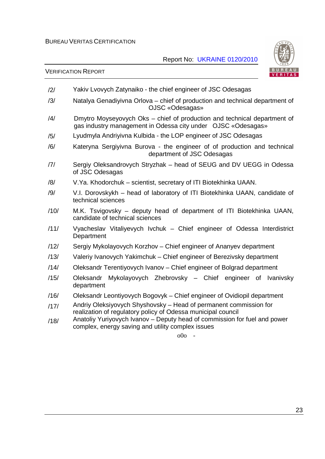Report No: UKRAINE 0120/2010



| /2/            | Yakiv Lvovych Zatynaiko - the chief engineer of JSC Odesagas                                                                                      |
|----------------|---------------------------------------------------------------------------------------------------------------------------------------------------|
| /3/            | Natalya Genadiyivna Orlova – chief of production and technical department of<br>OJSC «Odesagas»                                                   |
| $\frac{14}{3}$ | Dmytro Moyseyovych Oks – chief of production and technical department of<br>gas industry management in Odessa city under OJSC «Odesagas»          |
| /5/            | Lyudmyla Andriyivna Kulbida - the LOP engineer of JSC Odesagas                                                                                    |
| /6/            | Kateryna Sergiyivna Burova - the engineer of of production and technical<br>department of JSC Odesagas                                            |
| 7              | Sergiy Oleksandrovych Stryzhak - head of SEUG and DV UEGG in Odessa<br>of JSC Odesagas                                                            |
| /8/            | V. Ya. Khodorchuk – scientist, secretary of ITI Biotekhinka UAAN.                                                                                 |
| /9/            | V.I. Dorovskykh – head of laboratory of ITI Biotekhinka UAAN, candidate of<br>technical sciences                                                  |
| /10/           | M.K. Tsvigovsky – deputy head of department of ITI Biotekhinka UAAN,<br>candidate of technical sciences                                           |
| /11/           | Vyacheslav Vitaliyevych Ivchuk - Chief engineer of Odessa Interdistrict<br>Department                                                             |
| /12/           | Sergiy Mykolayovych Korzhov – Chief engineer of Ananyev department                                                                                |
| /13/           | Valeriy Ivanovych Yakimchuk – Chief engineer of Berezivsky department                                                                             |
| /14/           | Oleksandr Terentiyovych Ivanov - Chief engineer of Bolgrad department                                                                             |
| /15/           | Oleksandr Mykolayovych Zhebrovsky - Chief engineer of Ivanivsky<br>department                                                                     |
| /16/           | Oleksandr Leontiyovych Bogovyk - Chief engineer of Ovidiopil department                                                                           |
| /17/           | Andriy Oleksiyovych Shyshovsky - Head of permanent commission for<br>realization of regulatory policy of Odessa municipal council                 |
| /18/           | Anatoliy Yuriyovych Ivanov - Deputy head of commission for fuel and power<br>complex, energy saving and utility complex issues<br>00 <sub>o</sub> |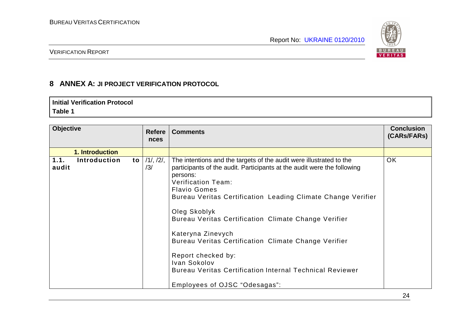

VERIFICATION REPORT

# **8 ANNEX A: JI PROJECT VERIFICATION PROTOCOL**

# **Initial Verification Protocol Table 1**

| <b>Objective</b> |                     |    | <b>Refere</b><br><b>nces</b> | <b>Comments</b>                                                                                                                                                                                                                                                                                                                                                                                                                                                                                                                                                               | <b>Conclusion</b><br>(CARs/FARs) |
|------------------|---------------------|----|------------------------------|-------------------------------------------------------------------------------------------------------------------------------------------------------------------------------------------------------------------------------------------------------------------------------------------------------------------------------------------------------------------------------------------------------------------------------------------------------------------------------------------------------------------------------------------------------------------------------|----------------------------------|
|                  | 1. Introduction     |    |                              |                                                                                                                                                                                                                                                                                                                                                                                                                                                                                                                                                                               |                                  |
| 1.1.<br>audit    | <b>Introduction</b> | to | $/1/$ , $/2/$ ,<br>/3/       | The intentions and the targets of the audit were illustrated to the<br>participants of the audit. Participants at the audit were the following<br>persons:<br><b>Verification Team:</b><br><b>Flavio Gomes</b><br>Bureau Veritas Certification Leading Climate Change Verifier<br>Oleg Skoblyk<br>Bureau Veritas Certification Climate Change Verifier<br>Kateryna Zinevych<br>Bureau Veritas Certification Climate Change Verifier<br>Report checked by:<br>Ivan Sokolov<br><b>Bureau Veritas Certification Internal Technical Reviewer</b><br>Employees of OJSC "Odesagas": | OK                               |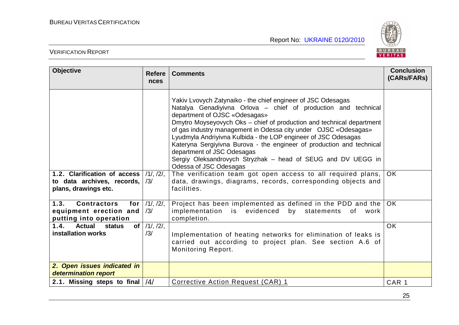

| <b>Objective</b>                                                                          | <b>Refere</b><br><b>nces</b> | <b>Comments</b>                                                                                                                                                                                                                                                                                                                                                                                                                                                                                                                                                                                                                                                                                                               | <b>Conclusion</b><br>(CARs/FARs) |
|-------------------------------------------------------------------------------------------|------------------------------|-------------------------------------------------------------------------------------------------------------------------------------------------------------------------------------------------------------------------------------------------------------------------------------------------------------------------------------------------------------------------------------------------------------------------------------------------------------------------------------------------------------------------------------------------------------------------------------------------------------------------------------------------------------------------------------------------------------------------------|----------------------------------|
| 1.2. Clarification of access<br>to data archives, records,<br>plans, drawings etc.        | $/1/$ , $/2/$ ,<br>/3/       | Yakiv Lvovych Zatynaiko - the chief engineer of JSC Odesagas<br>Natalya Genadiyivna Orlova – chief of production and technical<br>department of OJSC «Odesagas»<br>Dmytro Moyseyovych Oks - chief of production and technical department<br>of gas industry management in Odessa city under OJSC «Odesagas»<br>Lyudmyla Andriyivna Kulbida - the LOP engineer of JSC Odesagas<br>Kateryna Sergiyivna Burova - the engineer of production and technical<br>department of JSC Odesagas<br>Sergiy Oleksandrovych Stryzhak - head of SEUG and DV UEGG in<br>Odessa of JSC Odesagas<br>The verification team got open access to all required plans,<br>data, drawings, diagrams, records, corresponding objects and<br>facilities. | OK.                              |
| 1.3.<br><b>Contractors</b><br>for $ $<br>equipment erection and<br>putting into operation | $/1/$ , $/2/$ ,<br>/3/       | Project has been implemented as defined in the PDD and the<br>implementation is evidenced by statements<br>of work<br>completion.                                                                                                                                                                                                                                                                                                                                                                                                                                                                                                                                                                                             | OK.                              |
| 1.4.<br>$of \sqrt{}$<br><b>Actual</b><br>status<br><b>installation works</b>              | $/1/$ , $/2/$ ,<br>/3/       | Implementation of heating networks for elimination of leaks is<br>carried out according to project plan. See section A.6 of<br><b>Monitoring Report.</b>                                                                                                                                                                                                                                                                                                                                                                                                                                                                                                                                                                      | <b>OK</b>                        |
| 2. Open issues indicated in<br>determination report                                       |                              |                                                                                                                                                                                                                                                                                                                                                                                                                                                                                                                                                                                                                                                                                                                               |                                  |
| 2.1. Missing steps to final                                                               | $\frac{14}{1}$               | Corrective Action Request (CAR) 1                                                                                                                                                                                                                                                                                                                                                                                                                                                                                                                                                                                                                                                                                             | CAR <sub>1</sub>                 |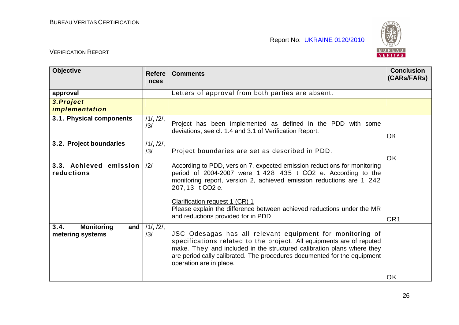

| Letters of approval from both parties are absent.<br>approval<br>3. Project<br>implementation<br>3.1. Physical components<br>11, 121,                                                                                                                                                                                                                                                                                                                       |                 |  |
|-------------------------------------------------------------------------------------------------------------------------------------------------------------------------------------------------------------------------------------------------------------------------------------------------------------------------------------------------------------------------------------------------------------------------------------------------------------|-----------------|--|
|                                                                                                                                                                                                                                                                                                                                                                                                                                                             |                 |  |
|                                                                                                                                                                                                                                                                                                                                                                                                                                                             |                 |  |
| Project has been implemented as defined in the PDD with some<br>/3/<br>deviations, see cl. 1.4 and 3.1 of Verification Report.                                                                                                                                                                                                                                                                                                                              | <b>OK</b>       |  |
| 11, 121,<br>3.2. Project boundaries<br>/3/<br>Project boundaries are set as described in PDD.                                                                                                                                                                                                                                                                                                                                                               | <b>OK</b>       |  |
| 3.3. Achieved emission<br>$\frac{12}{1}$<br>According to PDD, version 7, expected emission reductions for monitoring<br>period of 2004-2007 were 1 428 435 t CO2 e. According to the<br>reductions<br>monitoring report, version 2, achieved emission reductions are 1 242<br>207,13 t CO <sub>2</sub> e.<br>Clarification request 1 (CR) 1<br>Please explain the difference between achieved reductions under the MR<br>and reductions provided for in PDD | CR <sub>1</sub> |  |
| 3.4.<br>$/1/$ , $/2/$ ,<br><b>Monitoring</b><br>and<br>JSC Odesagas has all relevant equipment for monitoring of<br>/3/<br>metering systems<br>specifications related to the project. All equipments are of reputed<br>make. They and included in the structured calibration plans where they<br>are periodically calibrated. The procedures documented for the equipment<br>operation are in place.                                                        | <b>OK</b>       |  |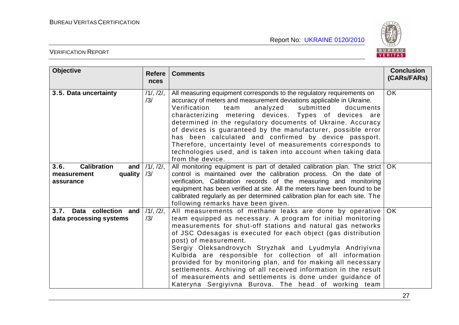

| <b>Objective</b>                                                         | <b>Refere</b><br><b>nces</b> | <b>Comments</b>                                                                                                                                                                                                                                                                                                                                                                                                                                                                                                                                                                                                                                                   | <b>Conclusion</b><br>(CARs/FARs) |
|--------------------------------------------------------------------------|------------------------------|-------------------------------------------------------------------------------------------------------------------------------------------------------------------------------------------------------------------------------------------------------------------------------------------------------------------------------------------------------------------------------------------------------------------------------------------------------------------------------------------------------------------------------------------------------------------------------------------------------------------------------------------------------------------|----------------------------------|
| 3.5. Data uncertainty                                                    | 11, 121,<br>/3/              | All measuring equipment corresponds to the regulatory requirements on<br>accuracy of meters and measurement deviations applicable in Ukraine.<br>Verification<br>analyzed<br>team<br>submitted<br>documents<br>characterizing metering devices. Types of devices are<br>determined in the regulatory documents of Ukraine. Accuracy<br>of devices is guaranteed by the manufacturer, possible error<br>has been calculated and confirmed by device passport.<br>Therefore, uncertainty level of measurements corresponds to<br>technologies used, and is taken into account when taking data<br>from the device.                                                  | <b>OK</b>                        |
| <b>Calibration</b><br>3.6.<br>and<br>quality<br>measurement<br>assurance | $/1/$ , $/2/$ ,<br>/3/       | All monitoring equipment is part of detailed calibration plan. The strict   OK<br>control is maintained over the calibration process. On the date of<br>verification, Calibration records of the measuring and monitoring<br>equipment has been verified at site. All the meters have been found to be<br>calibrated regularly as per determined calibration plan for each site. The<br>following remarks have been given.                                                                                                                                                                                                                                        |                                  |
| Data collection and<br>3.7.<br>data processing systems                   | 11, 121,<br>/3/              | All measurements of methane leaks are done by operative<br>team equipped as necessary. A program for initial monitoring<br>measurements for shut-off stations and natural gas networks<br>of JSC Odesagas is executed for each object (gas distribution<br>post) of measurement.<br>Sergiy Oleksandrovych Stryzhak and Lyudmyla Andriyivna<br>Kulbida are responsible for collection of all information<br>provided for by monitoring plan, and for making all necessary<br>settlements. Archiving of all received information in the result<br>of measurements and settlements is done under guidance of<br>Kateryna Sergiyivna Burova. The head of working team | <b>OK</b>                        |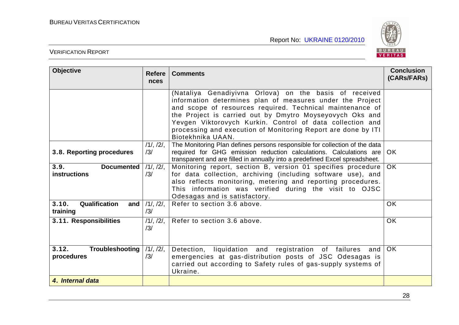

| <b>Objective</b>                                 | <b>Refere</b><br><b>nces</b> | <b>Comments</b>                                                                                                                                                                                                                                                                                                                                                                                 | <b>Conclusion</b><br>(CARs/FARs) |
|--------------------------------------------------|------------------------------|-------------------------------------------------------------------------------------------------------------------------------------------------------------------------------------------------------------------------------------------------------------------------------------------------------------------------------------------------------------------------------------------------|----------------------------------|
|                                                  |                              | (Nataliya Genadiyivna Orlova) on the basis of received<br>information determines plan of measures under the Project<br>and scope of resources required. Technical maintenance of<br>the Project is carried out by Dmytro Moyseyovych Oks and<br>Yevgen Viktorovych Kurkin. Control of data collection and<br>processing and execution of Monitoring Report are done by ITI<br>Biotekhnika UAAN. |                                  |
| 3.8. Reporting procedures                        | 11, 121,<br>/3/              | The Monitoring Plan defines persons responsible for collection of the data<br>required for GHG emission reduction calculations. Calculations are<br>transparent and are filled in annually into a predefined Excel spreadsheet.                                                                                                                                                                 | <b>OK</b>                        |
| 3.9.<br><b>Documented</b><br><b>instructions</b> | 11, 121,<br>/3/              | Monitoring report, section B, version 01 specifies procedure<br>for data collection, archiving (including software use), and<br>also reflects monitoring, metering and reporting procedures.<br>This information was verified during the visit to OJSC<br>Odesagas and is satisfactory.                                                                                                         | OK                               |
| 3.10.<br>Qualification<br>training               | and $/1/$ , $/2/$ ,<br>/3/   | Refer to section 3.6 above.                                                                                                                                                                                                                                                                                                                                                                     | <b>OK</b>                        |
| 3.11. Responsibilities                           | 11, 121,<br>/3/              | Refer to section 3.6 above.                                                                                                                                                                                                                                                                                                                                                                     | <b>OK</b>                        |
| 3.12.<br>Troubleshooting<br>procedures           | 11, 121,<br>/3/              | Detection, liquidation and registration of failures and<br>emergencies at gas-distribution posts of JSC Odesagas is<br>carried out according to Safety rules of gas-supply systems of<br>Ukraine.                                                                                                                                                                                               | OK.                              |
| 4. Internal data                                 |                              |                                                                                                                                                                                                                                                                                                                                                                                                 |                                  |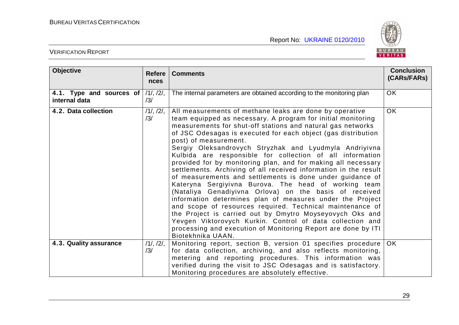

| <b>Objective</b>                          | <b>Refere</b><br><b>nces</b> | <b>Comments</b>                                                                                                                                                                                                                                                                                                                                                                                                                                                                                                                                                                                                                                                                                                                                                                                                                                                                                                                                                                                                                                                      | <b>Conclusion</b><br>(CARs/FARs) |
|-------------------------------------------|------------------------------|----------------------------------------------------------------------------------------------------------------------------------------------------------------------------------------------------------------------------------------------------------------------------------------------------------------------------------------------------------------------------------------------------------------------------------------------------------------------------------------------------------------------------------------------------------------------------------------------------------------------------------------------------------------------------------------------------------------------------------------------------------------------------------------------------------------------------------------------------------------------------------------------------------------------------------------------------------------------------------------------------------------------------------------------------------------------|----------------------------------|
| 4.1. Type and sources of<br>internal data | 11, 121,<br>/3/              | The internal parameters are obtained according to the monitoring plan                                                                                                                                                                                                                                                                                                                                                                                                                                                                                                                                                                                                                                                                                                                                                                                                                                                                                                                                                                                                | OK                               |
| 4.2. Data collection                      | 11, 121,<br>/3/              | All measurements of methane leaks are done by operative<br>team equipped as necessary. A program for initial monitoring<br>measurements for shut-off stations and natural gas networks<br>of JSC Odesagas is executed for each object (gas distribution<br>post) of measurement.<br>Sergiy Oleksandrovych Stryzhak and Lyudmyla Andriyivna<br>Kulbida are responsible for collection of all information<br>provided for by monitoring plan, and for making all necessary<br>settlements. Archiving of all received information in the result<br>of measurements and settlements is done under guidance of<br>Kateryna Sergiyivna Burova. The head of working team<br>(Nataliya Genadiyivna Orlova) on the basis of received<br>information determines plan of measures under the Project<br>and scope of resources required. Technical maintenance of<br>the Project is carried out by Dmytro Moyseyovych Oks and<br>Yevgen Viktorovych Kurkin. Control of data collection and<br>processing and execution of Monitoring Report are done by ITI<br>Biotekhnika UAAN. | <b>OK</b>                        |
| 4.3. Quality assurance                    | 11, 121,<br>/3/              | Monitoring report, section B, version 01 specifies procedure<br>for data collection, archiving, and also reflects monitoring,<br>metering and reporting procedures. This information was<br>verified during the visit to JSC Odesagas and is satisfactory.<br>Monitoring procedures are absolutely effective.                                                                                                                                                                                                                                                                                                                                                                                                                                                                                                                                                                                                                                                                                                                                                        | <b>OK</b>                        |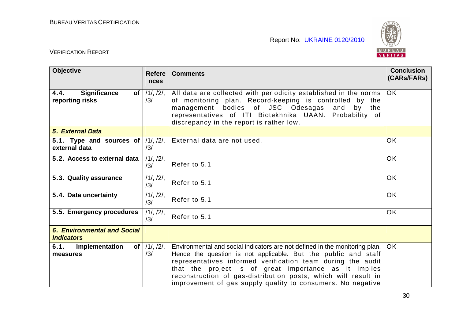

| <b>Objective</b>                                            | <b>Refere</b><br>nces     | <b>Comments</b>                                                                                                                                                                                                                                                                                                                                                                                        | <b>Conclusion</b><br>(CARs/FARs) |
|-------------------------------------------------------------|---------------------------|--------------------------------------------------------------------------------------------------------------------------------------------------------------------------------------------------------------------------------------------------------------------------------------------------------------------------------------------------------------------------------------------------------|----------------------------------|
| 4.4.<br><b>Significance</b><br>reporting risks              | of $/1/$ , $/2/$ ,<br>/3/ | All data are collected with periodicity established in the norms<br>of monitoring plan. Record-keeping is controlled by the<br>management bodies of JSC Odesagas<br>and<br>by the<br>representatives of ITI Biotekhnika UAAN. Probability of<br>discrepancy in the report is rather low.                                                                                                               | OK.                              |
| <b>5. External Data</b>                                     |                           |                                                                                                                                                                                                                                                                                                                                                                                                        |                                  |
| 5.1. Type and sources of $/1/1$ , $/2/1$ ,<br>external data | /3/                       | External data are not used.                                                                                                                                                                                                                                                                                                                                                                            | <b>OK</b>                        |
| 5.2. Access to external data                                | 11, 121,<br>/3/           | Refer to 5.1                                                                                                                                                                                                                                                                                                                                                                                           | <b>OK</b>                        |
| 5.3. Quality assurance                                      | 11, 121,<br>/3/           | Refer to 5.1                                                                                                                                                                                                                                                                                                                                                                                           | <b>OK</b>                        |
| 5.4. Data uncertainty                                       | 11, 121,<br>/3/           | Refer to 5.1                                                                                                                                                                                                                                                                                                                                                                                           | <b>OK</b>                        |
| 5.5. Emergency procedures                                   | 11, 121,<br>/3/           | Refer to 5.1                                                                                                                                                                                                                                                                                                                                                                                           | <b>OK</b>                        |
| <b>6. Environmental and Social</b><br><b>Indicators</b>     |                           |                                                                                                                                                                                                                                                                                                                                                                                                        |                                  |
| 6.1.<br>Implementation<br>measures                          | of $/1/$ , $/2/$ ,<br>/3/ | Environmental and social indicators are not defined in the monitoring plan.<br>Hence the question is not applicable. But the public and staff<br>representatives informed verification team during the audit<br>that the project is of great importance as it implies<br>reconstruction of gas-distribution posts, which will result in<br>improvement of gas supply quality to consumers. No negative | <b>OK</b>                        |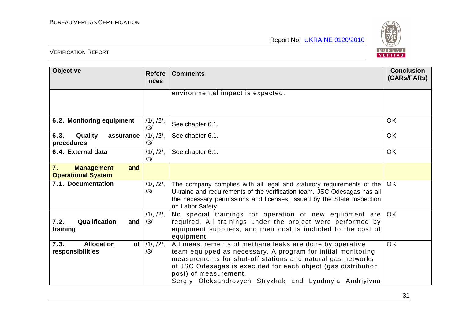

| <b>Objective</b>                                                          | <b>Refere</b><br>nces  | <b>Comments</b>                                                                                                                                                                                                                                                                                                                            | <b>Conclusion</b><br>(CARs/FARs) |
|---------------------------------------------------------------------------|------------------------|--------------------------------------------------------------------------------------------------------------------------------------------------------------------------------------------------------------------------------------------------------------------------------------------------------------------------------------------|----------------------------------|
|                                                                           |                        | environmental impact is expected.                                                                                                                                                                                                                                                                                                          |                                  |
| 6.2. Monitoring equipment                                                 | 11, 121,<br>/3/        | See chapter 6.1.                                                                                                                                                                                                                                                                                                                           | <b>OK</b>                        |
| 6.3.<br>Quality<br>assurance<br>procedures                                | 11, 121,<br>/3/        | See chapter 6.1.                                                                                                                                                                                                                                                                                                                           | <b>OK</b>                        |
| 6.4. External data                                                        | 11, 121,<br>/3/        | See chapter 6.1.                                                                                                                                                                                                                                                                                                                           | <b>OK</b>                        |
| $\overline{7}$ .<br><b>Management</b><br>and<br><b>Operational System</b> |                        |                                                                                                                                                                                                                                                                                                                                            |                                  |
| 7.1. Documentation                                                        | 11, 121,<br>/3/        | The company complies with all legal and statutory requirements of the<br>Ukraine and requirements of the verification team. JSC Odesagas has all<br>the necessary permissions and licenses, issued by the State Inspection<br>on Labor Safety.                                                                                             | OK.                              |
| 7.2.<br>Qualification<br>and<br>training                                  | 11, 121,<br>/3/        | No special trainings for operation of new equipment are<br>required. All trainings under the project were performed by<br>equipment suppliers, and their cost is included to the cost of<br>equipment.                                                                                                                                     | OK.                              |
| <b>Allocation</b><br>7.3.<br>of<br>responsibilities                       | $/1/$ , $/2/$ ,<br>/3/ | All measurements of methane leaks are done by operative<br>team equipped as necessary. A program for initial monitoring<br>measurements for shut-off stations and natural gas networks<br>of JSC Odesagas is executed for each object (gas distribution<br>post) of measurement.<br>Sergiy Oleksandrovych Stryzhak and Lyudmyla Andriyivna | <b>OK</b>                        |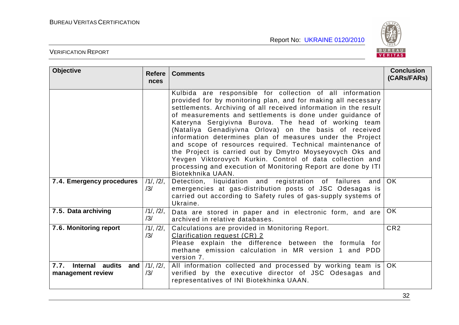

| <b>Objective</b><br><b>Refere</b><br><b>nces</b> |                            | <b>Comments</b>                                                                                                                                                                                                                                                                                                                                                                                                                                                                                                                                                                                                                                                                                                        | <b>Conclusion</b><br>(CARs/FARs) |
|--------------------------------------------------|----------------------------|------------------------------------------------------------------------------------------------------------------------------------------------------------------------------------------------------------------------------------------------------------------------------------------------------------------------------------------------------------------------------------------------------------------------------------------------------------------------------------------------------------------------------------------------------------------------------------------------------------------------------------------------------------------------------------------------------------------------|----------------------------------|
|                                                  |                            | Kulbida are responsible for collection of all information<br>provided for by monitoring plan, and for making all necessary<br>settlements. Archiving of all received information in the result<br>of measurements and settlements is done under guidance of<br>Kateryna Sergiyivna Burova. The head of working team<br>(Nataliya Genadiyivna Orlova) on the basis of received<br>information determines plan of measures under the Project<br>and scope of resources required. Technical maintenance of<br>the Project is carried out by Dmytro Moyseyovych Oks and<br>Yevgen Viktorovych Kurkin. Control of data collection and<br>processing and execution of Monitoring Report are done by ITI<br>Biotekhnika UAAN. |                                  |
| 7.4. Emergency procedures                        | 11, 121,<br>/3/            | Detection, liquidation and registration of failures and<br>emergencies at gas-distribution posts of JSC Odesagas is<br>carried out according to Safety rules of gas-supply systems of<br>Ukraine.                                                                                                                                                                                                                                                                                                                                                                                                                                                                                                                      | OK.                              |
| 7.5. Data archiving                              | $/1/$ , $/2/$ ,<br>/3/     | Data are stored in paper and in electronic form, and are<br>archived in relative databases.                                                                                                                                                                                                                                                                                                                                                                                                                                                                                                                                                                                                                            | <b>OK</b>                        |
| 7.6. Monitoring report<br>$/1/$ , $/2/$ ,<br>/3/ |                            | Calculations are provided in Monitoring Report.<br>Clarification request (CR) 2<br>Please explain the difference between the formula for<br>methane emission calculation in MR version 1 and PDD<br>version 7.                                                                                                                                                                                                                                                                                                                                                                                                                                                                                                         | CR <sub>2</sub>                  |
| 7.7.<br>Internal audits<br>management review     | and $/1/$ , $/2/$ ,<br>/3/ | All information collected and processed by working team is<br>verified by the executive director of JSC Odesagas and<br>representatives of INI Biotekhinka UAAN.                                                                                                                                                                                                                                                                                                                                                                                                                                                                                                                                                       | OK                               |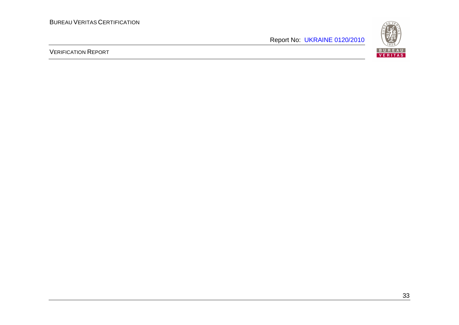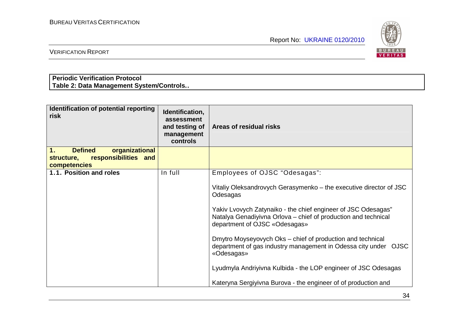

VERIFICATION REPORT

**Periodic Verification Protocol Table 2: Data Management System/Controls..** 

| Identification of potential reporting<br>risk | Identification,<br>assessment<br>and testing of<br>management<br>controls | Areas of residual risks                                                                                                                                          |
|-----------------------------------------------|---------------------------------------------------------------------------|------------------------------------------------------------------------------------------------------------------------------------------------------------------|
| <b>Defined</b><br>organizational<br>1.        |                                                                           |                                                                                                                                                                  |
| responsibilities and<br>structure,            |                                                                           |                                                                                                                                                                  |
| competencies                                  |                                                                           |                                                                                                                                                                  |
| 1.1. Position and roles                       | In full                                                                   | Employees of OJSC "Odesagas":                                                                                                                                    |
|                                               |                                                                           | Vitaliy Oleksandrovych Gerasymenko – the executive director of JSC<br>Odesagas                                                                                   |
|                                               |                                                                           | Yakiv Lvovych Zatynaiko - the chief engineer of JSC Odesagas"<br>Natalya Genadiyivna Orlova – chief of production and technical<br>department of OJSC «Odesagas» |
|                                               |                                                                           | Dmytro Moyseyovych Oks – chief of production and technical<br>department of gas industry management in Odessa city under OJSC<br>«Odesagas»                      |
|                                               |                                                                           | Lyudmyla Andriyivna Kulbida - the LOP engineer of JSC Odesagas                                                                                                   |
|                                               |                                                                           | Kateryna Sergiyivna Burova - the engineer of of production and                                                                                                   |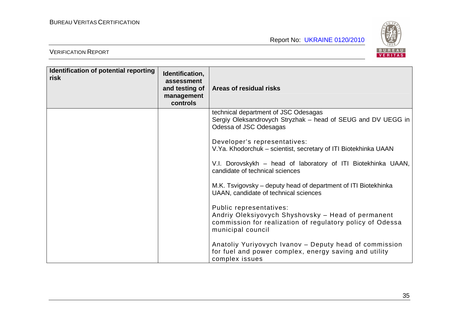

| Identification of potential reporting<br>risk | Identification,<br>assessment<br>and testing of<br>management<br>controls | Areas of residual risks                                                                                                                                         |
|-----------------------------------------------|---------------------------------------------------------------------------|-----------------------------------------------------------------------------------------------------------------------------------------------------------------|
|                                               |                                                                           | technical department of JSC Odesagas<br>Sergiy Oleksandrovych Stryzhak - head of SEUG and DV UEGG in<br>Odessa of JSC Odesagas                                  |
|                                               |                                                                           | Developer's representatives:<br>V.Ya. Khodorchuk - scientist, secretary of ITI Biotekhinka UAAN                                                                 |
|                                               |                                                                           | V.I. Dorovskykh – head of laboratory of ITI Biotekhinka UAAN,<br>candidate of technical sciences                                                                |
|                                               |                                                                           | M.K. Tsvigovsky – deputy head of department of ITI Biotekhinka<br>UAAN, candidate of technical sciences                                                         |
|                                               |                                                                           | Public representatives:<br>Andriy Oleksiyovych Shyshovsky - Head of permanent<br>commission for realization of regulatory policy of Odessa<br>municipal council |
|                                               |                                                                           | Anatoliy Yuriyovych Ivanov - Deputy head of commission<br>for fuel and power complex, energy saving and utility<br>complex issues                               |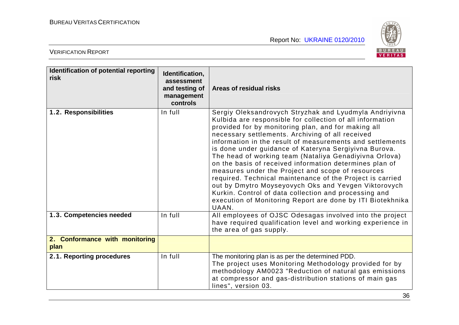

| Identification of potential reporting<br>risk | Identification,<br>assessment<br>and testing of<br>management<br><b>controls</b> | <b>Areas of residual risks</b>                                                                                                                                                                                                                                                                                                                                                                                                                                                                                                                                                                                                                                                                                                                                                      |
|-----------------------------------------------|----------------------------------------------------------------------------------|-------------------------------------------------------------------------------------------------------------------------------------------------------------------------------------------------------------------------------------------------------------------------------------------------------------------------------------------------------------------------------------------------------------------------------------------------------------------------------------------------------------------------------------------------------------------------------------------------------------------------------------------------------------------------------------------------------------------------------------------------------------------------------------|
| 1.2. Responsibilities                         | In full                                                                          | Sergiy Oleksandrovych Stryzhak and Lyudmyla Andriyivna<br>Kulbida are responsible for collection of all information<br>provided for by monitoring plan, and for making all<br>necessary settlements. Archiving of all received<br>information in the result of measurements and settlements<br>is done under guidance of Kateryna Sergiyivna Burova.<br>The head of working team (Nataliya Genadiyivna Orlova)<br>on the basis of received information determines plan of<br>measures under the Project and scope of resources<br>required. Technical maintenance of the Project is carried<br>out by Dmytro Moyseyovych Oks and Yevgen Viktorovych<br>Kurkin. Control of data collection and processing and<br>execution of Monitoring Report are done by ITI Biotekhnika<br>UAAN. |
| 1.3. Competencies needed                      | In full                                                                          | All employees of OJSC Odesagas involved into the project<br>have required qualification level and working experience in<br>the area of gas supply.                                                                                                                                                                                                                                                                                                                                                                                                                                                                                                                                                                                                                                  |
| 2. Conformance with monitoring<br>plan        |                                                                                  |                                                                                                                                                                                                                                                                                                                                                                                                                                                                                                                                                                                                                                                                                                                                                                                     |
| 2.1. Reporting procedures                     | In full                                                                          | The monitoring plan is as per the determined PDD.<br>The project uses Monitoring Methodology provided for by<br>methodology AM0023 "Reduction of natural gas emissions<br>at compressor and gas-distribution stations of main gas<br>lines", version 03.                                                                                                                                                                                                                                                                                                                                                                                                                                                                                                                            |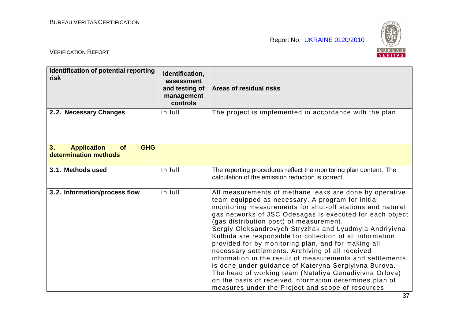

| Identification of potential reporting<br>risk                         | Identification,<br>assessment<br>and testing of<br>management<br>controls | <b>Areas of residual risks</b>                                                                                                                                                                                                                                                                                                                                                                                                                                                                                                                                                                                                                                                                                                                                                                                     |  |
|-----------------------------------------------------------------------|---------------------------------------------------------------------------|--------------------------------------------------------------------------------------------------------------------------------------------------------------------------------------------------------------------------------------------------------------------------------------------------------------------------------------------------------------------------------------------------------------------------------------------------------------------------------------------------------------------------------------------------------------------------------------------------------------------------------------------------------------------------------------------------------------------------------------------------------------------------------------------------------------------|--|
| 2.2. Necessary Changes                                                | In full                                                                   | The project is implemented in accordance with the plan.                                                                                                                                                                                                                                                                                                                                                                                                                                                                                                                                                                                                                                                                                                                                                            |  |
| <b>GHG</b><br>3.<br><b>Application</b><br>of<br>determination methods |                                                                           |                                                                                                                                                                                                                                                                                                                                                                                                                                                                                                                                                                                                                                                                                                                                                                                                                    |  |
| 3.1. Methods used                                                     | In full                                                                   | The reporting procedures reflect the monitoring plan content. The<br>calculation of the emission reduction is correct.                                                                                                                                                                                                                                                                                                                                                                                                                                                                                                                                                                                                                                                                                             |  |
| 3.2. Information/process flow                                         | In full                                                                   | All measurements of methane leaks are done by operative<br>team equipped as necessary. A program for initial<br>monitoring measurements for shut-off stations and natural<br>gas networks of JSC Odesagas is executed for each object<br>(gas distribution post) of measurement.<br>Sergiy Oleksandrovych Stryzhak and Lyudmyla Andriyivna<br>Kulbida are responsible for collection of all information<br>provided for by monitoring plan, and for making all<br>necessary settlements. Archiving of all received<br>information in the result of measurements and settlements<br>is done under guidance of Kateryna Sergiyivna Burova.<br>The head of working team (Nataliya Genadiyivna Orlova)<br>on the basis of received information determines plan of<br>measures under the Project and scope of resources |  |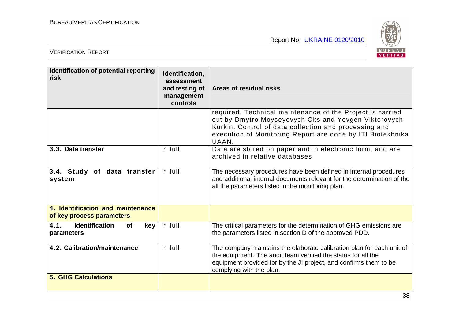

| Identification of potential reporting<br>risk                  | Identification,<br>assessment<br>and testing of<br>management<br>controls | <b>Areas of residual risks</b>                                                                                                                                                                                                                    |
|----------------------------------------------------------------|---------------------------------------------------------------------------|---------------------------------------------------------------------------------------------------------------------------------------------------------------------------------------------------------------------------------------------------|
|                                                                |                                                                           | required. Technical maintenance of the Project is carried<br>out by Dmytro Moyseyovych Oks and Yevgen Viktorovych<br>Kurkin. Control of data collection and processing and<br>execution of Monitoring Report are done by ITI Biotekhnika<br>UAAN. |
| 3.3. Data transfer                                             | In full                                                                   | Data are stored on paper and in electronic form, and are<br>archived in relative databases                                                                                                                                                        |
| 3.4. Study of data transfer<br>system                          | In full                                                                   | The necessary procedures have been defined in internal procedures<br>and additional internal documents relevant for the determination of the<br>all the parameters listed in the monitoring plan.                                                 |
| 4. Identification and maintenance<br>of key process parameters |                                                                           |                                                                                                                                                                                                                                                   |
| <b>Identification</b><br>4.1.<br><b>of</b><br>parameters       | key   In full                                                             | The critical parameters for the determination of GHG emissions are<br>the parameters listed in section D of the approved PDD.                                                                                                                     |
| 4.2. Calibration/maintenance                                   | In full                                                                   | The company maintains the elaborate calibration plan for each unit of<br>the equipment. The audit team verified the status for all the<br>equipment provided for by the JI project, and confirms them to be<br>complying with the plan.           |
| <b>5. GHG Calculations</b>                                     |                                                                           |                                                                                                                                                                                                                                                   |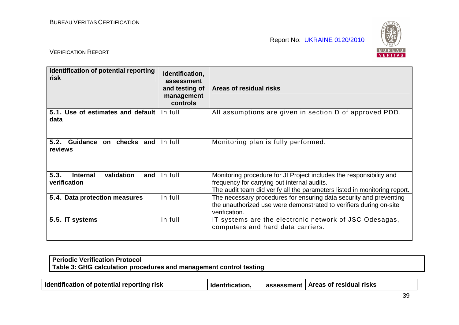

# VERIFICATION REPORT

| Identification of potential reporting<br><b>risk</b>         | Identification,<br>assessment<br>and testing of<br>management<br>controls | Areas of residual risks                                                                                                                                                                         |
|--------------------------------------------------------------|---------------------------------------------------------------------------|-------------------------------------------------------------------------------------------------------------------------------------------------------------------------------------------------|
| 5.1. Use of estimates and default<br>data                    | In full                                                                   | All assumptions are given in section D of approved PDD.                                                                                                                                         |
| 5.2.<br>Guidance on checks and<br>reviews                    | In full                                                                   | Monitoring plan is fully performed.                                                                                                                                                             |
| 5.3.<br>validation<br><b>Internal</b><br>and<br>verification | In full                                                                   | Monitoring procedure for JI Project includes the responsibility and<br>frequency for carrying out internal audits.<br>The audit team did verify all the parameters listed in monitoring report. |
| 5.4. Data protection measures                                | In full                                                                   | The necessary procedures for ensuring data security and preventing<br>the unauthorized use were demonstrated to verifiers during on-site<br>verification.                                       |
| 5.5. IT systems                                              | In full                                                                   | IT systems are the electronic network of JSC Odesagas,<br>computers and hard data carriers.                                                                                                     |

# **Periodic Verification Protocol Table 3: GHG calculation procedures and management control testing**

| Identification of potential reporting risk | Identification. |  | assessment   Areas of residual risks |  |
|--------------------------------------------|-----------------|--|--------------------------------------|--|
|--------------------------------------------|-----------------|--|--------------------------------------|--|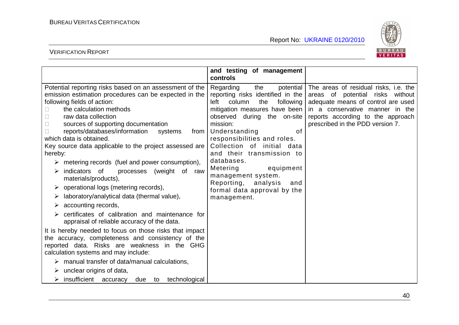

|                                                                                                                                                                                                                                                                                                                                                                                                                                                                                                                                                                                                                                                                                                                                                                                                                                                                                                                                                                                                                                                                                                                                                         | and testing of management<br>controls                                                                                                                                                                                                                                                                                                                                                                                                |                                                                                                                                                                                                                                       |
|---------------------------------------------------------------------------------------------------------------------------------------------------------------------------------------------------------------------------------------------------------------------------------------------------------------------------------------------------------------------------------------------------------------------------------------------------------------------------------------------------------------------------------------------------------------------------------------------------------------------------------------------------------------------------------------------------------------------------------------------------------------------------------------------------------------------------------------------------------------------------------------------------------------------------------------------------------------------------------------------------------------------------------------------------------------------------------------------------------------------------------------------------------|--------------------------------------------------------------------------------------------------------------------------------------------------------------------------------------------------------------------------------------------------------------------------------------------------------------------------------------------------------------------------------------------------------------------------------------|---------------------------------------------------------------------------------------------------------------------------------------------------------------------------------------------------------------------------------------|
| Potential reporting risks based on an assessment of the<br>emission estimation procedures can be expected in the<br>following fields of action:<br>the calculation methods<br>raw data collection<br>sources of supporting documentation<br>reports/databases/information<br>systems<br>from  <br>which data is obtained.<br>Key source data applicable to the project assessed are<br>hereby:<br>$\triangleright$ metering records (fuel and power consumption),<br>indicators of<br>processes (weight of raw<br>➤<br>materials/products),<br>$\triangleright$ operational logs (metering records),<br>laboratory/analytical data (thermal value),<br>accounting records,<br>➤<br>certificates of calibration and maintenance for<br>appraisal of reliable accuracy of the data.<br>It is hereby needed to focus on those risks that impact<br>the accuracy, completeness and consistency of the<br>reported data. Risks are weakness in the GHG<br>calculation systems and may include:<br>$\triangleright$ manual transfer of data/manual calculations,<br>unclear origins of data,<br>➤<br>insufficient accuracy<br>technological<br>due<br>to<br>➤ | Regarding<br>the<br>reporting risks identified in the<br>left<br>column<br>the<br>following<br>mitigation measures have been<br>observed during the on-site<br>mission:<br>Understanding<br>οf<br>responsibilities and roles.<br>Collection of initial data<br>and their transmission to<br>databases.<br>Metering<br>equipment<br>management system.<br>Reporting,<br>analysis<br>and<br>formal data approval by the<br>management. | potential The areas of residual risks, i.e. the<br>areas of potential risks without<br>adequate means of control are used<br>in a conservative manner in the<br>reports according to the approach<br>prescribed in the PDD version 7. |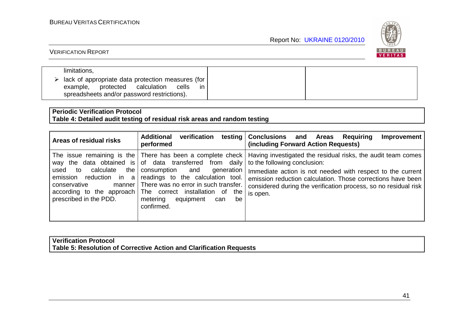

# VERIFICATION REPORT

| limitations,                                                                                                                                      |  |
|---------------------------------------------------------------------------------------------------------------------------------------------------|--|
| lack of appropriate data protection measures (for<br>protected calculation cells<br>example,<br>in<br>spreadsheets and/or password restrictions). |  |

#### **Periodic Verification Protocol Table 4: Detailed audit testing of residual risk areas and random testing**

| Areas of residual risks                                                                          | <b>Additional</b><br>verification<br>performed                                                                                                                                                                                                                                                                                 | testing   Conclusions and Areas<br>Improvement<br>Requiring<br>(including Forward Action Requests)                                                                                                                                                                                                                                  |
|--------------------------------------------------------------------------------------------------|--------------------------------------------------------------------------------------------------------------------------------------------------------------------------------------------------------------------------------------------------------------------------------------------------------------------------------|-------------------------------------------------------------------------------------------------------------------------------------------------------------------------------------------------------------------------------------------------------------------------------------------------------------------------------------|
| calculate<br>the<br>used to<br>emission reduction in a<br>conservative<br>prescribed in the PDD. | way the data obtained is $ $ of data transferred from daily $ $ to the following conclusion:<br>consumption and generation<br>readings to the calculation tool.<br>manner   There was no error in such transfer.<br>according to the approach The correct installation of the<br>metering equipment<br>can<br>be<br>confirmed. | The issue remaining is the There has been a complete check Having investigated the residual risks, the audit team comes<br>Immediate action is not needed with respect to the current<br>emission reduction calculation. Those corrections have been<br>considered during the verification process, so no residual risk<br>is open. |

**Verification Protocol Table 5: Resolution of Corrective Action and Clarification Requests**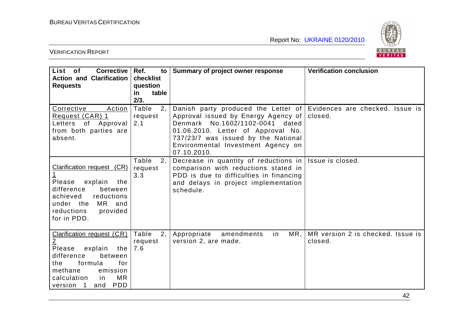

| List of<br><b>Corrective</b><br><b>Action and Clarification</b><br><b>Requests</b>                                                                                                                              | Ref.<br>to<br>checklist<br>question<br>table<br>in<br>2/3. | Summary of project owner response                                                                                                                                                                                                               | <b>Verification conclusion</b>               |
|-----------------------------------------------------------------------------------------------------------------------------------------------------------------------------------------------------------------|------------------------------------------------------------|-------------------------------------------------------------------------------------------------------------------------------------------------------------------------------------------------------------------------------------------------|----------------------------------------------|
| Corrective<br>Action<br>Request (CAR) 1<br>Letters of Approval<br>from both parties are<br>absent.                                                                                                              | Table<br>2,<br>request<br>2.1                              | Danish party produced the Letter of<br>Approval issued by Energy Agency of<br>Denmark No.1602/1102-0041 dated<br>01.06.2010. Letter of Approval No.<br>737/23/7 was issued by the National<br>Environmental Investment Agency on<br>07.10.2010. | Evidences are checked. Issue is<br>closed.   |
| Clarification request (CR)<br>Please<br>explain<br>the<br>difference<br>between<br>achieved<br>reductions<br>MR and<br>under the<br>reductions<br>provided<br>for in PDD.                                       | Table<br>2,<br>request<br>3.3                              | Decrease in quantity of reductions in Issue is closed.<br>comparison with reductions stated in<br>PDD is due to difficulties in financing<br>and delays in project implementation<br>schedule.                                                  |                                              |
| Clarification request (CR)<br>$\overline{2}$<br>Please<br>explain<br>the<br>difference<br>between<br>formula<br>for<br>the<br>emission<br>methane<br><b>MR</b><br>calculation<br>in.<br>PDD<br>version 1<br>and | Table<br>2,<br>request<br>7.6                              | Appropriate<br>MR.<br>amendments<br>in<br>version 2, are made.                                                                                                                                                                                  | MR version 2 is checked. Issue is<br>closed. |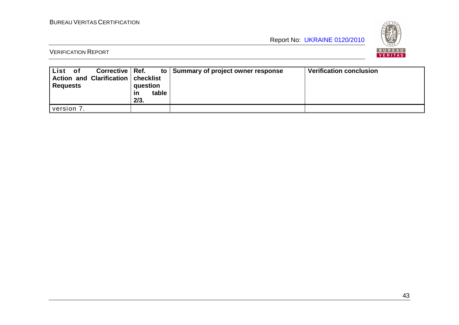

| List<br>Corrective   Ref.<br>of<br>Action and Clarification   checklist<br><b>Requests</b> | question<br>table<br>ın<br>2/3. | to Summary of project owner response | <b>Verification conclusion</b> |
|--------------------------------------------------------------------------------------------|---------------------------------|--------------------------------------|--------------------------------|
| $\vert$ version 7.                                                                         |                                 |                                      |                                |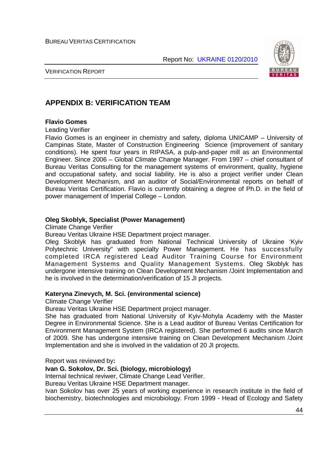

VERIFICATION REPORT

# **APPENDIX B: VERIFICATION TEAM**

#### **Flavio Gomes**

Leading Verifier

Flavio Gomes is an engineer in chemistry and safety, diploma UNICAMP – University of Campinas State, Master of Construction Engineering Science (improvement of sanitary conditions). He spent four years in RIPASA, a pulp-and-paper mill as an Environmental Engineer. Since 2006 – Global Climate Change Manager. From 1997 – chief consultant of Bureau Veritas Consulting for the management systems of environment, quality, hygiene and occupational safety, and social liability. He is also a project verifier under Clean Development Mechanism, and an auditor of Social/Environmental reports on behalf of Bureau Veritas Certification. Flavio is currently obtaining a degree of Ph.D. in the field of power management of Imperial College – London.

#### **Oleg Skoblyk, Specialist (Power Management)**

Climate Change Verifier

Bureau Veritas Ukraine HSE Department project manager.

Oleg Skoblyk has graduated from National Technical University of Ukraine 'Kyiv Polytechnic University" with specialty Power Management. He has successfully completed IRCA registered Lead Auditor Training Course for Environment Management Systems and Quality Management Systems. Oleg Skoblyk has undergone intensive training on Clean Development Mechanism /Joint Implementation and he is involved in the determination/verification of 15 JI projects.

#### **Kateryna Zinevych, M. Sci. (environmental science)**

Climate Change Verifier

Bureau Veritas Ukraine HSE Department project manager.

She has graduated from National University of Kyiv-Mohyla Academy with the Master Degree in Environmental Science. She is a Lead auditor of Bureau Veritas Certification for Environment Management System (IRCA registered). She performed 6 audits since March of 2009. She has undergone intensive training on Clean Development Mechanism /Joint Implementation and she is involved in the validation of 20 JI projects.

Report was reviewed by**:** 

#### **Ivan G. Sokolov, Dr. Sci. (biology, microbiology)**

Internal technical reviwer, Climate Change Lead Verifier.

Bureau Veritas Ukraine HSE Department manager.

Ivan Sokolov has over 25 years of working experience in research institute in the field of biochemistry, biotechnologies and microbiology. From 1999 - Head of Ecology and Safety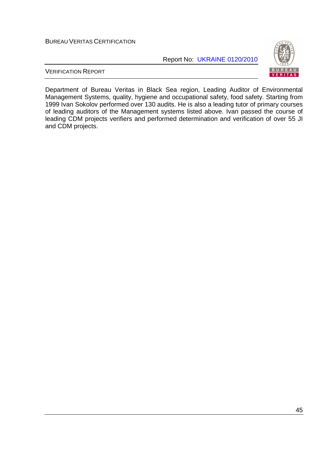Report No: UKRAINE 0120/2010



VERIFICATION REPORT

Department of Bureau Veritas in Black Sea region, Leading Auditor of Environmental Management Systems, quality, hygiene and occupational safety, food safety. Starting from 1999 Ivan Sokolov performed over 130 audits. He is also a leading tutor of primary courses of leading auditors of the Management systems listed above. Ivan passed the course of leading CDM projects verifiers and performed determination and verification of over 55 JI and CDM projects.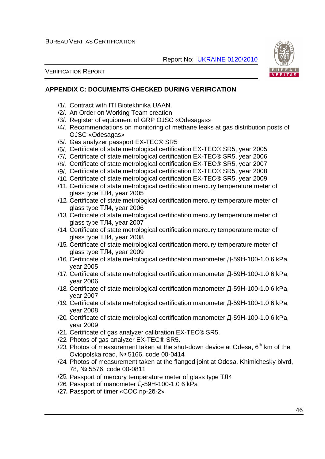

VERIFICATION REPORT

# **APPENDIX C: DOCUMENTS CHECKED DURING VERIFICATION**

- /1/. Contract with ITI Biotekhnika UAAN.
- /2/. An Order on Working Team creation
- /3/. Register of equipment of GRP OJSC «Odesagas»
- /4/. Recommendations on monitoring of methane leaks at gas distribution posts of OJSC «Odesagas»
- /5/. Gas analyzer passport EX-TEC® SR5
- /6/. Certificate of state metrological certification EX-TEC® SR5, year 2005
- /7/. Certificate of state metrological certification EX-TEC® SR5, year 2006
- /8/. Certificate of state metrological certification EX-TEC® SR5, year 2007
- /9/. Certificate of state metrological certification EX-TEC® SR5, year 2008
- /10/.Certificate of state metrological certification EX-TEC® SR5, year 2009
- /11/.Certificate of state metrological certification mercury temperature meter of glass type ТЛ4, year 2005
- /12/.Certificate of state metrological certification mercury temperature meter of glass type ТЛ4, year 2006
- /13/.Certificate of state metrological certification mercury temperature meter of glass type ТЛ4, year 2007
- /14/.Certificate of state metrological certification mercury temperature meter of glass type ТЛ4, year 2008
- /15/.Certificate of state metrological certification mercury temperature meter of glass type ТЛ4, year 2009
- /16/.Certificate of state metrological certification manometer Д-59Н-100-1.0 6 kPа, year 2005
- /17/.Certificate of state metrological certification manometer Д-59Н-100-1.0 6 kPа, year 2006
- /18/.Certificate of state metrological certification manometer Д-59Н-100-1.0 6 kPа, year 2007
- /19/.Certificate of state metrological certification manometer Д-59Н-100-1.0 6 kPа, year 2008
- /20/.Certificate of state metrological certification manometer Д-59Н-100-1.0 6 kPа, year 2009
- /21/.Certificate of gas analyzer calibration EX-TEC® SR5.
- /22/.Photos of gas analyzer EX-TEC® SR5.
- /23. Photos of measurement taken at the shut-down device at Odesa,  $6<sup>th</sup>$  km of the Oviopolska road, № 5166, code 00-0414
- /24/.Photos of measurement taken at the flanged joint at Odesa, Khimichesky blvrd, 78, № 5576, code 00-0811
- /25/.Passport of mercury temperature meter of glass type ТЛ4
- /26/.Passport of manometer Д-59Н-100-1.0 6 kPa
- /27/.Passport of timer «СОС пр-2б-2»